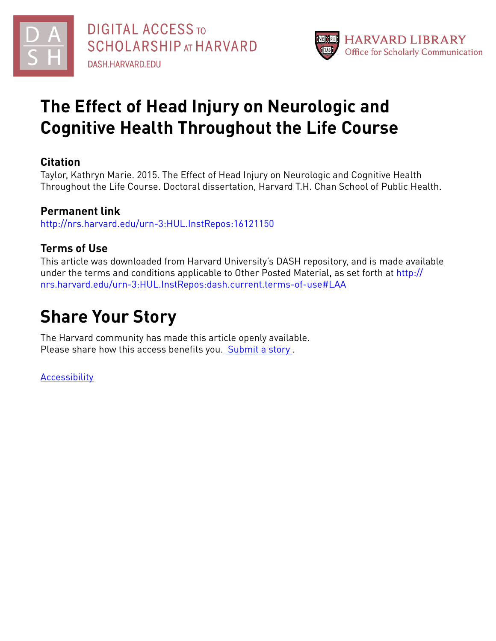



## **The Effect of Head Injury on Neurologic and Cognitive Health Throughout the Life Course**

### **Citation**

Taylor, Kathryn Marie. 2015. The Effect of Head Injury on Neurologic and Cognitive Health Throughout the Life Course. Doctoral dissertation, Harvard T.H. Chan School of Public Health.

### **Permanent link**

<http://nrs.harvard.edu/urn-3:HUL.InstRepos:16121150>

### **Terms of Use**

This article was downloaded from Harvard University's DASH repository, and is made available under the terms and conditions applicable to Other Posted Material, as set forth at [http://](http://nrs.harvard.edu/urn-3:HUL.InstRepos:dash.current.terms-of-use#LAA) [nrs.harvard.edu/urn-3:HUL.InstRepos:dash.current.terms-of-use#LAA](http://nrs.harvard.edu/urn-3:HUL.InstRepos:dash.current.terms-of-use#LAA)

## **Share Your Story**

The Harvard community has made this article openly available. Please share how this access benefits you. [Submit](http://osc.hul.harvard.edu/dash/open-access-feedback?handle=&title=The%20Effect%20of%20Head%20Injury%20on%20Neurologic%20and%20Cognitive%20Health%20Throughout%20the%20Life%20Course&community=1/4454687&collection=1/13398961&owningCollection1/13398961&harvardAuthors=431156dc444505c7e3ed16391123d9bb&departmentEnvironmental%20Health) a story .

[Accessibility](https://dash.harvard.edu/pages/accessibility)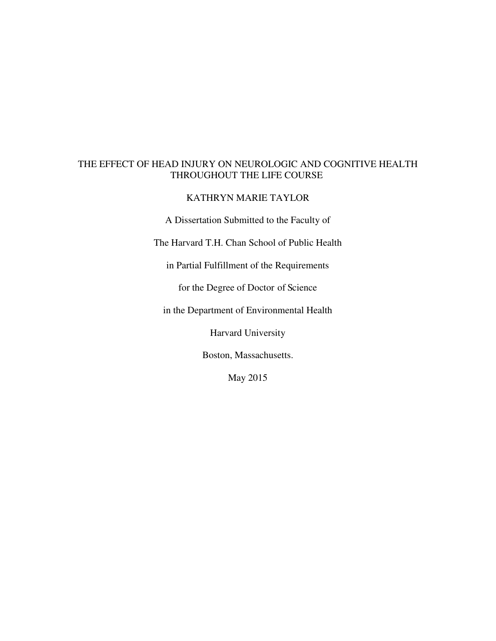#### THE EFFECT OF HEAD INJURY ON NEUROLOGIC AND COGNITIVE HEALTH THROUGHOUT THE LIFE COURSE

#### KATHRYN MARIE TAYLOR

A Dissertation Submitted to the Faculty of

The Harvard T.H. Chan School of Public Health

in Partial Fulfillment of the Requirements

for the Degree of Doctor of Science

in the Department of Environmental Health

Harvard University

Boston, Massachusetts.

May 2015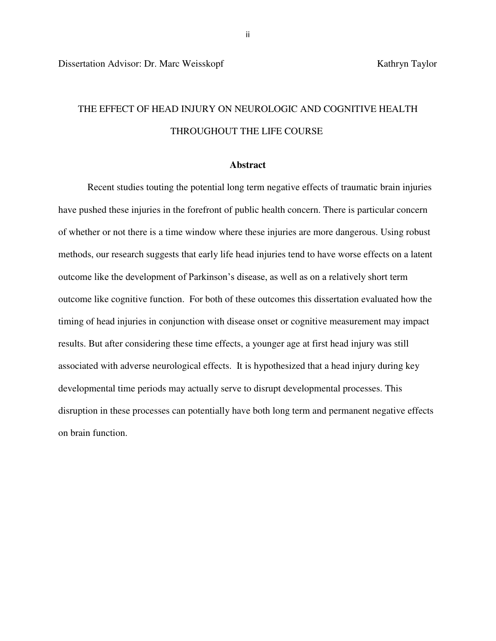### THE EFFECT OF HEAD INJURY ON NEUROLOGIC AND COGNITIVE HEALTH THROUGHOUT THE LIFE COURSE

#### **Abstract**

 Recent studies touting the potential long term negative effects of traumatic brain injuries have pushed these injuries in the forefront of public health concern. There is particular concern of whether or not there is a time window where these injuries are more dangerous. Using robust methods, our research suggests that early life head injuries tend to have worse effects on a latent outcome like the development of Parkinson's disease, as well as on a relatively short term outcome like cognitive function. For both of these outcomes this dissertation evaluated how the timing of head injuries in conjunction with disease onset or cognitive measurement may impact results. But after considering these time effects, a younger age at first head injury was still associated with adverse neurological effects. It is hypothesized that a head injury during key developmental time periods may actually serve to disrupt developmental processes. This disruption in these processes can potentially have both long term and permanent negative effects on brain function.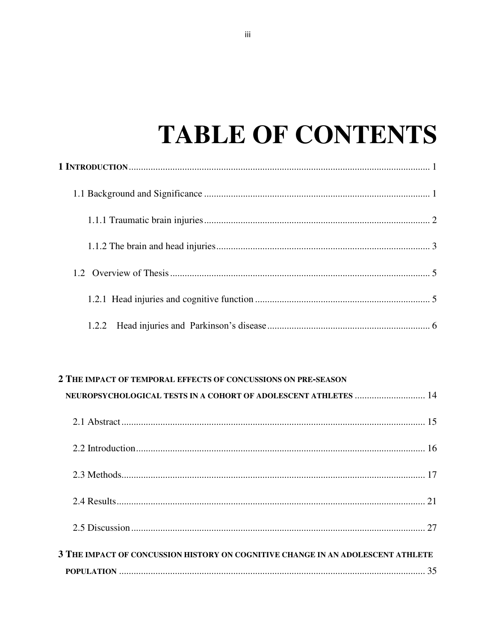# **TABLE OF CONTENTS**

### 2 THE IMPACT OF TEMPORAL EFFECTS OF CONCUSSIONS ON PRE-SEASON

| NEUROPSYCHOLOGICAL TESTS IN A COHORT OF ADOLESCENT ATHLETES  14                 |  |
|---------------------------------------------------------------------------------|--|
|                                                                                 |  |
|                                                                                 |  |
|                                                                                 |  |
|                                                                                 |  |
|                                                                                 |  |
| 3 THE IMPACT OF CONCUSSION HISTORY ON COGNITIVE CHANGE IN AN ADOLESCENT ATHLETE |  |
|                                                                                 |  |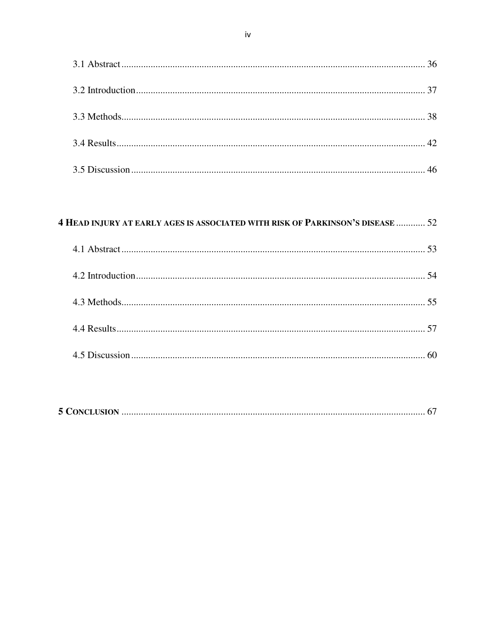### **4 HEAD INJURY AT EARLY AGES IS ASSOCIATED WITH RISK OF PARKINSON'S DISEASE ............ 52**

|--|--|--|--|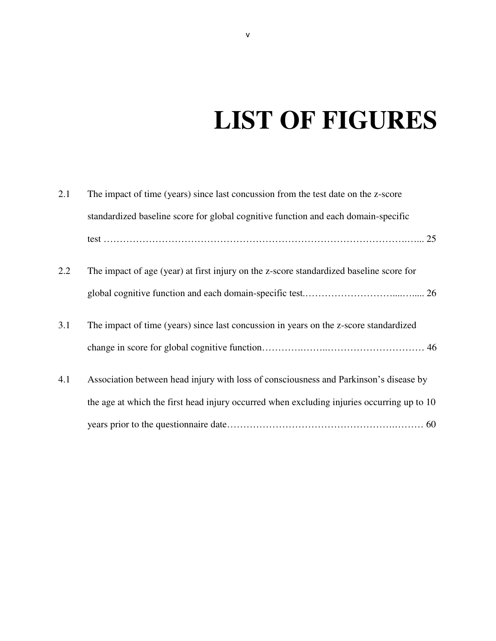# **LIST OF FIGURES**

| 2.1 | The impact of time (years) since last concussion from the test date on the z-score         |
|-----|--------------------------------------------------------------------------------------------|
|     | standardized baseline score for global cognitive function and each domain-specific         |
|     |                                                                                            |
| 2.2 | The impact of age (year) at first injury on the z-score standardized baseline score for    |
|     |                                                                                            |
| 3.1 | The impact of time (years) since last concussion in years on the z-score standardized      |
|     |                                                                                            |
| 4.1 | Association between head injury with loss of consciousness and Parkinson's disease by      |
|     | the age at which the first head injury occurred when excluding injuries occurring up to 10 |
|     |                                                                                            |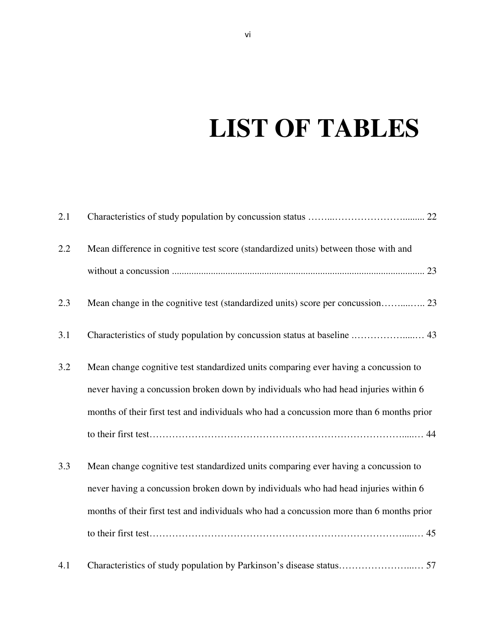# **LIST OF TABLES**

| 2.1 |                                                                                          |
|-----|------------------------------------------------------------------------------------------|
| 2.2 | Mean difference in cognitive test score (standardized units) between those with and      |
|     |                                                                                          |
| 2.3 |                                                                                          |
| 3.1 |                                                                                          |
| 3.2 | Mean change cognitive test standardized units comparing ever having a concussion to      |
|     | never having a concussion broken down by individuals who had head injuries within 6      |
|     | months of their first test and individuals who had a concussion more than 6 months prior |
|     |                                                                                          |
| 3.3 | Mean change cognitive test standardized units comparing ever having a concussion to      |
|     | never having a concussion broken down by individuals who had head injuries within 6      |
|     | months of their first test and individuals who had a concussion more than 6 months prior |
|     |                                                                                          |
| 4.1 |                                                                                          |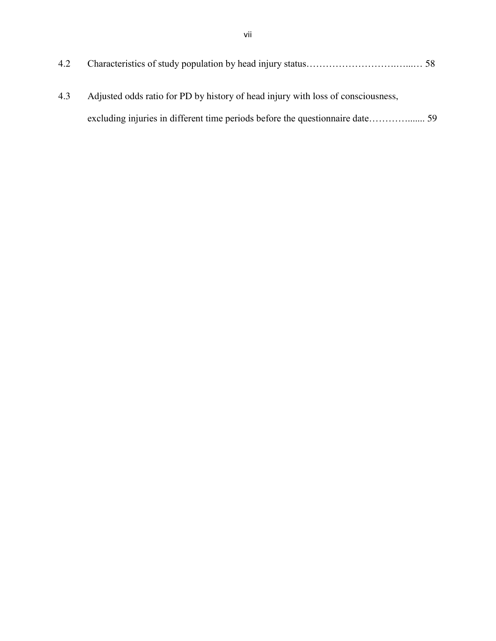| 4.2 |                                                                                  |  |
|-----|----------------------------------------------------------------------------------|--|
| 4.3 | Adjusted odds ratio for PD by history of head injury with loss of consciousness, |  |
|     |                                                                                  |  |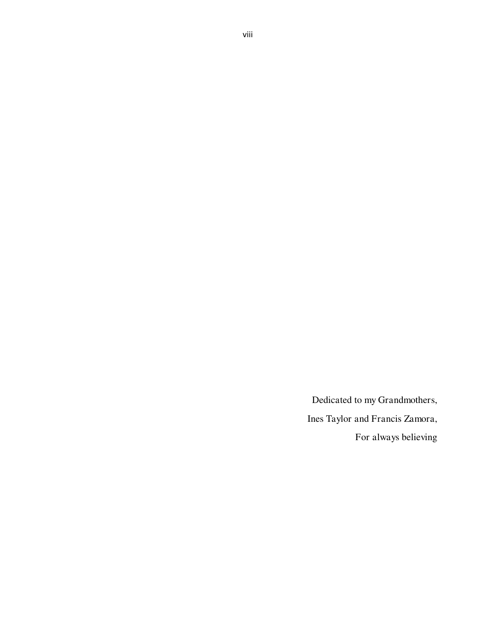Dedicated to my Grandmothers, Ines Taylor and Francis Zamora, For always believing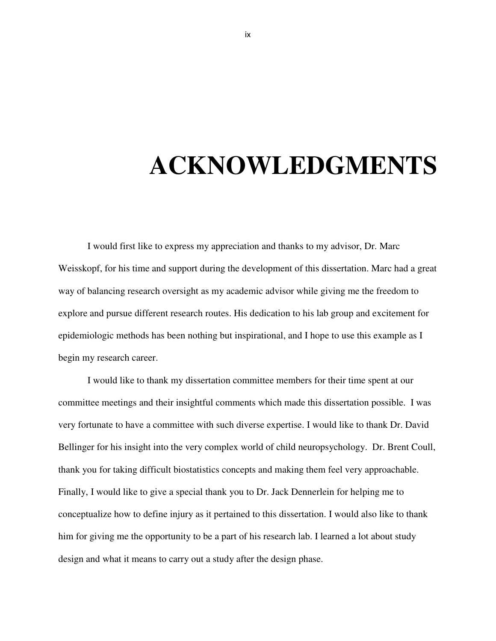# **ACKNOWLEDGMENTS**

I would first like to express my appreciation and thanks to my advisor, Dr. Marc Weisskopf, for his time and support during the development of this dissertation. Marc had a great way of balancing research oversight as my academic advisor while giving me the freedom to explore and pursue different research routes. His dedication to his lab group and excitement for epidemiologic methods has been nothing but inspirational, and I hope to use this example as I begin my research career.

I would like to thank my dissertation committee members for their time spent at our committee meetings and their insightful comments which made this dissertation possible. I was very fortunate to have a committee with such diverse expertise. I would like to thank Dr. David Bellinger for his insight into the very complex world of child neuropsychology. Dr. Brent Coull, thank you for taking difficult biostatistics concepts and making them feel very approachable. Finally, I would like to give a special thank you to Dr. Jack Dennerlein for helping me to conceptualize how to define injury as it pertained to this dissertation. I would also like to thank him for giving me the opportunity to be a part of his research lab. I learned a lot about study design and what it means to carry out a study after the design phase.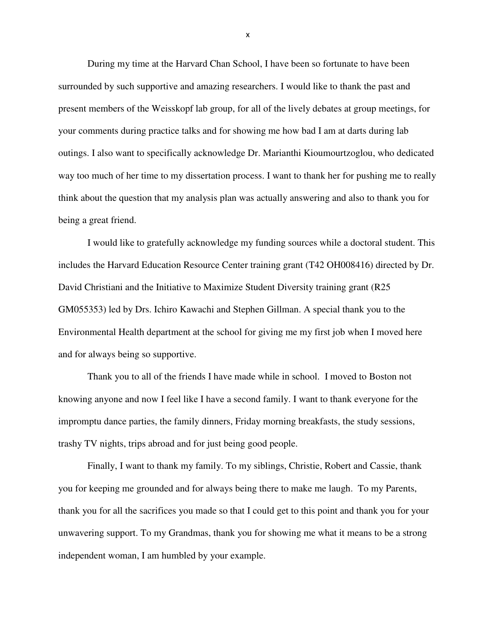During my time at the Harvard Chan School, I have been so fortunate to have been surrounded by such supportive and amazing researchers. I would like to thank the past and present members of the Weisskopf lab group, for all of the lively debates at group meetings, for your comments during practice talks and for showing me how bad I am at darts during lab outings. I also want to specifically acknowledge Dr. Marianthi Kioumourtzoglou, who dedicated way too much of her time to my dissertation process. I want to thank her for pushing me to really think about the question that my analysis plan was actually answering and also to thank you for being a great friend.

 I would like to gratefully acknowledge my funding sources while a doctoral student. This includes the Harvard Education Resource Center training grant (T42 OH008416) directed by Dr. David Christiani and the Initiative to Maximize Student Diversity training grant (R25 GM055353) led by Drs. Ichiro Kawachi and Stephen Gillman. A special thank you to the Environmental Health department at the school for giving me my first job when I moved here and for always being so supportive.

 Thank you to all of the friends I have made while in school. I moved to Boston not knowing anyone and now I feel like I have a second family. I want to thank everyone for the impromptu dance parties, the family dinners, Friday morning breakfasts, the study sessions, trashy TV nights, trips abroad and for just being good people.

 Finally, I want to thank my family. To my siblings, Christie, Robert and Cassie, thank you for keeping me grounded and for always being there to make me laugh. To my Parents, thank you for all the sacrifices you made so that I could get to this point and thank you for your unwavering support. To my Grandmas, thank you for showing me what it means to be a strong independent woman, I am humbled by your example.

x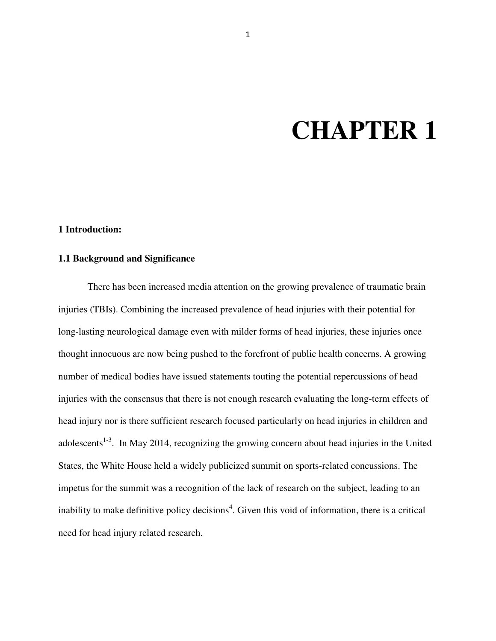# **CHAPTER 1**

#### **1 Introduction:**

#### **1.1 Background and Significance**

There has been increased media attention on the growing prevalence of traumatic brain injuries (TBIs). Combining the increased prevalence of head injuries with their potential for long-lasting neurological damage even with milder forms of head injuries, these injuries once thought innocuous are now being pushed to the forefront of public health concerns. A growing number of medical bodies have issued statements touting the potential repercussions of head injuries with the consensus that there is not enough research evaluating the long-term effects of head injury nor is there sufficient research focused particularly on head injuries in children and adolescents<sup>1-3</sup>. In May 2014, recognizing the growing concern about head injuries in the United States, the White House held a widely publicized summit on sports-related concussions. The impetus for the summit was a recognition of the lack of research on the subject, leading to an inability to make definitive policy decisions<sup>4</sup>. Given this void of information, there is a critical need for head injury related research.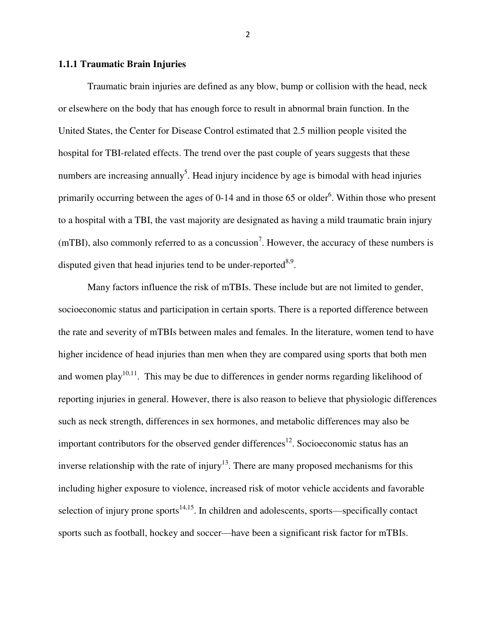#### **1.1.1 Traumatic Brain Injuries**

Traumatic brain injuries are defined as any blow, bump or collision with the head, neck or elsewhere on the body that has enough force to result in abnormal brain function. In the United States, the Center for Disease Control estimated that 2.5 million people visited the hospital for TBI-related effects. The trend over the past couple of years suggests that these numbers are increasing annually<sup>5</sup>. Head injury incidence by age is bimodal with head injuries primarily occurring between the ages of  $0-14$  and in those 65 or older<sup>6</sup>. Within those who present to a hospital with a TBI, the vast majority are designated as having a mild traumatic brain injury  $(mTBI)$ , also commonly referred to as a concussion<sup>7</sup>. However, the accuracy of these numbers is disputed given that head injuries tend to be under-reported $8.9$ .

Many factors influence the risk of mTBIs. These include but are not limited to gender, socioeconomic status and participation in certain sports. There is a reported difference between the rate and severity of mTBIs between males and females. In the literature, women tend to have higher incidence of head injuries than men when they are compared using sports that both men and women play<sup>10,11</sup>. This may be due to differences in gender norms regarding likelihood of reporting injuries in general. However, there is also reason to believe that physiologic differences such as neck strength, differences in sex hormones, and metabolic differences may also be important contributors for the observed gender differences<sup>12</sup>. Socioeconomic status has an inverse relationship with the rate of injury<sup>13</sup>. There are many proposed mechanisms for this including higher exposure to violence, increased risk of motor vehicle accidents and favorable selection of injury prone sports<sup>14,15</sup>. In children and adolescents, sports—specifically contact sports such as football, hockey and soccer—have been a significant risk factor for mTBIs.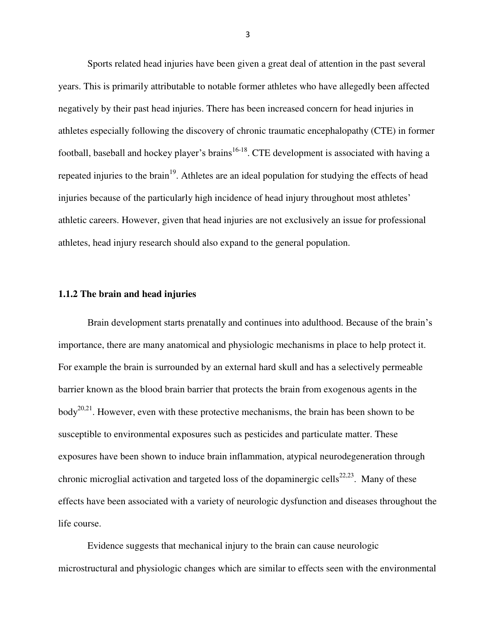Sports related head injuries have been given a great deal of attention in the past several years. This is primarily attributable to notable former athletes who have allegedly been affected negatively by their past head injuries. There has been increased concern for head injuries in athletes especially following the discovery of chronic traumatic encephalopathy (CTE) in former football, baseball and hockey player's brains<sup>16-18</sup>. CTE development is associated with having a repeated injuries to the brain<sup>19</sup>. Athletes are an ideal population for studying the effects of head injuries because of the particularly high incidence of head injury throughout most athletes' athletic careers. However, given that head injuries are not exclusively an issue for professional athletes, head injury research should also expand to the general population.

#### **1.1.2 The brain and head injuries**

Brain development starts prenatally and continues into adulthood. Because of the brain's importance, there are many anatomical and physiologic mechanisms in place to help protect it. For example the brain is surrounded by an external hard skull and has a selectively permeable barrier known as the blood brain barrier that protects the brain from exogenous agents in the  $body^{20,21}$ . However, even with these protective mechanisms, the brain has been shown to be susceptible to environmental exposures such as pesticides and particulate matter. These exposures have been shown to induce brain inflammation, atypical neurodegeneration through chronic microglial activation and targeted loss of the dopaminergic cells<sup>22,23</sup>. Many of these effects have been associated with a variety of neurologic dysfunction and diseases throughout the life course.

Evidence suggests that mechanical injury to the brain can cause neurologic microstructural and physiologic changes which are similar to effects seen with the environmental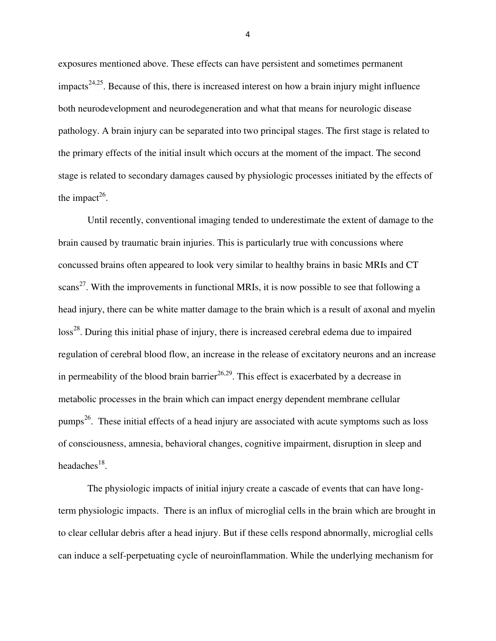exposures mentioned above. These effects can have persistent and sometimes permanent impacts<sup>24,25</sup>. Because of this, there is increased interest on how a brain injury might influence both neurodevelopment and neurodegeneration and what that means for neurologic disease pathology. A brain injury can be separated into two principal stages. The first stage is related to the primary effects of the initial insult which occurs at the moment of the impact. The second stage is related to secondary damages caused by physiologic processes initiated by the effects of the impact<sup>26</sup>.

Until recently, conventional imaging tended to underestimate the extent of damage to the brain caused by traumatic brain injuries. This is particularly true with concussions where concussed brains often appeared to look very similar to healthy brains in basic MRIs and CT scans<sup>27</sup>. With the improvements in functional MRIs, it is now possible to see that following a head injury, there can be white matter damage to the brain which is a result of axonal and myelin  $\cos^{28}$ . During this initial phase of injury, there is increased cerebral edema due to impaired regulation of cerebral blood flow, an increase in the release of excitatory neurons and an increase in permeability of the blood brain barrier<sup>26,29</sup>. This effect is exacerbated by a decrease in metabolic processes in the brain which can impact energy dependent membrane cellular pumps<sup>26</sup>. These initial effects of a head injury are associated with acute symptoms such as loss of consciousness, amnesia, behavioral changes, cognitive impairment, disruption in sleep and headaches<sup>18</sup>.

The physiologic impacts of initial injury create a cascade of events that can have longterm physiologic impacts. There is an influx of microglial cells in the brain which are brought in to clear cellular debris after a head injury. But if these cells respond abnormally, microglial cells can induce a self-perpetuating cycle of neuroinflammation. While the underlying mechanism for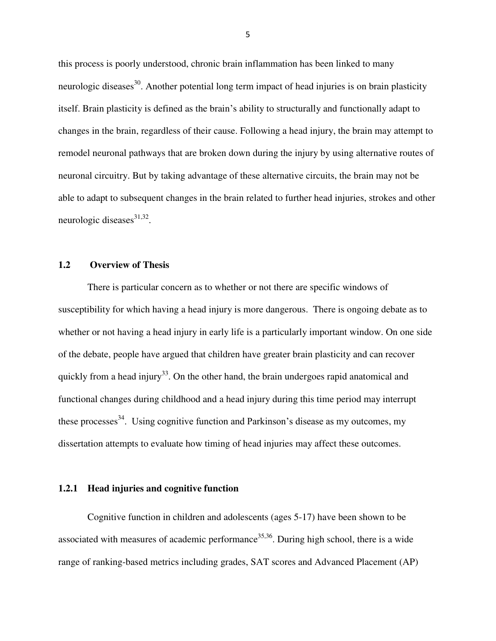this process is poorly understood, chronic brain inflammation has been linked to many neurologic diseases<sup>30</sup>. Another potential long term impact of head injuries is on brain plasticity itself. Brain plasticity is defined as the brain's ability to structurally and functionally adapt to changes in the brain, regardless of their cause. Following a head injury, the brain may attempt to remodel neuronal pathways that are broken down during the injury by using alternative routes of neuronal circuitry. But by taking advantage of these alternative circuits, the brain may not be able to adapt to subsequent changes in the brain related to further head injuries, strokes and other neurologic diseases $^{31,32}$ .

#### **1.2 Overview of Thesis**

There is particular concern as to whether or not there are specific windows of susceptibility for which having a head injury is more dangerous. There is ongoing debate as to whether or not having a head injury in early life is a particularly important window. On one side of the debate, people have argued that children have greater brain plasticity and can recover quickly from a head injury<sup>33</sup>. On the other hand, the brain undergoes rapid anatomical and functional changes during childhood and a head injury during this time period may interrupt these processes $^{34}$ . Using cognitive function and Parkinson's disease as my outcomes, my dissertation attempts to evaluate how timing of head injuries may affect these outcomes.

#### **1.2.1 Head injuries and cognitive function**

Cognitive function in children and adolescents (ages 5-17) have been shown to be associated with measures of academic performance<sup>35,36</sup>. During high school, there is a wide range of ranking-based metrics including grades, SAT scores and Advanced Placement (AP)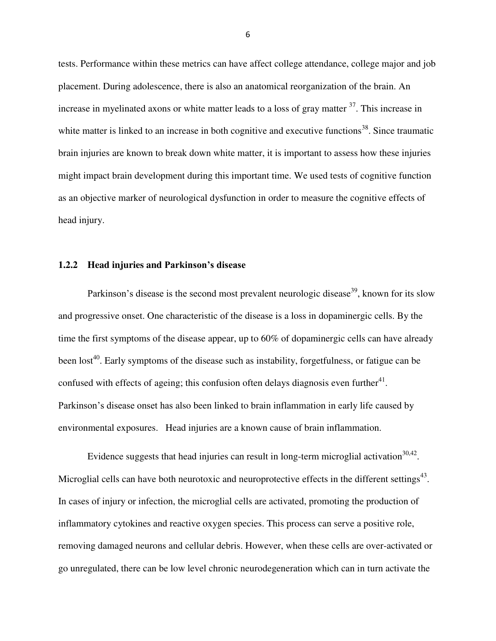tests. Performance within these metrics can have affect college attendance, college major and job placement. During adolescence, there is also an anatomical reorganization of the brain. An increase in myelinated axons or white matter leads to a loss of gray matter  $37$ . This increase in white matter is linked to an increase in both cognitive and executive functions<sup>38</sup>. Since traumatic brain injuries are known to break down white matter, it is important to assess how these injuries might impact brain development during this important time. We used tests of cognitive function as an objective marker of neurological dysfunction in order to measure the cognitive effects of head injury.

#### **1.2.2 Head injuries and Parkinson's disease**

Parkinson's disease is the second most prevalent neurologic disease<sup>39</sup>, known for its slow and progressive onset. One characteristic of the disease is a loss in dopaminergic cells. By the time the first symptoms of the disease appear, up to 60% of dopaminergic cells can have already been lost<sup>40</sup>. Early symptoms of the disease such as instability, forgetfulness, or fatigue can be confused with effects of ageing; this confusion often delays diagnosis even further $41$ . Parkinson's disease onset has also been linked to brain inflammation in early life caused by environmental exposures. Head injuries are a known cause of brain inflammation.

Evidence suggests that head injuries can result in long-term microglial activation  $30,42$ . Microglial cells can have both neurotoxic and neuroprotective effects in the different settings<sup>43</sup>. In cases of injury or infection, the microglial cells are activated, promoting the production of inflammatory cytokines and reactive oxygen species. This process can serve a positive role, removing damaged neurons and cellular debris. However, when these cells are over-activated or go unregulated, there can be low level chronic neurodegeneration which can in turn activate the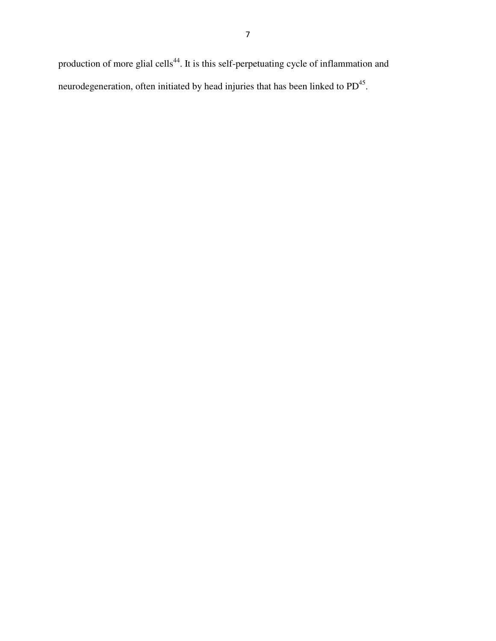production of more glial cells<sup>44</sup>. It is this self-perpetuating cycle of inflammation and neurodegeneration, often initiated by head injuries that has been linked to  $PD^{45}$ .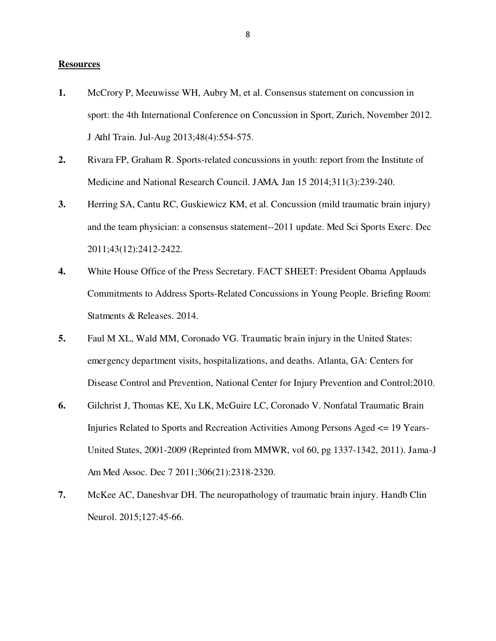#### **Resources**

- **1.** McCrory P, Meeuwisse WH, Aubry M, et al. Consensus statement on concussion in sport: the 4th International Conference on Concussion in Sport, Zurich, November 2012. J Athl Train. Jul-Aug 2013;48(4):554-575.
- **2.** Rivara FP, Graham R. Sports-related concussions in youth: report from the Institute of Medicine and National Research Council. JAMA. Jan 15 2014;311(3):239-240.
- **3.** Herring SA, Cantu RC, Guskiewicz KM, et al. Concussion (mild traumatic brain injury) and the team physician: a consensus statement--2011 update. Med Sci Sports Exerc. Dec 2011;43(12):2412-2422.
- **4.** White House Office of the Press Secretary. FACT SHEET: President Obama Applauds Commitments to Address Sports-Related Concussions in Young People. Briefing Room: Statments & Releases. 2014.
- **5.** Faul M XL, Wald MM, Coronado VG. Traumatic brain injury in the United States: emergency department visits, hospitalizations, and deaths. Atlanta, GA: Centers for Disease Control and Prevention, National Center for Injury Prevention and Control;2010.
- **6.** Gilchrist J, Thomas KE, Xu LK, McGuire LC, Coronado V. Nonfatal Traumatic Brain Injuries Related to Sports and Recreation Activities Among Persons Aged <= 19 Years-United States, 2001-2009 (Reprinted from MMWR, vol 60, pg 1337-1342, 2011). Jama-J Am Med Assoc. Dec 7 2011;306(21):2318-2320.
- **7.** McKee AC, Daneshvar DH. The neuropathology of traumatic brain injury. Handb Clin Neurol. 2015;127:45-66.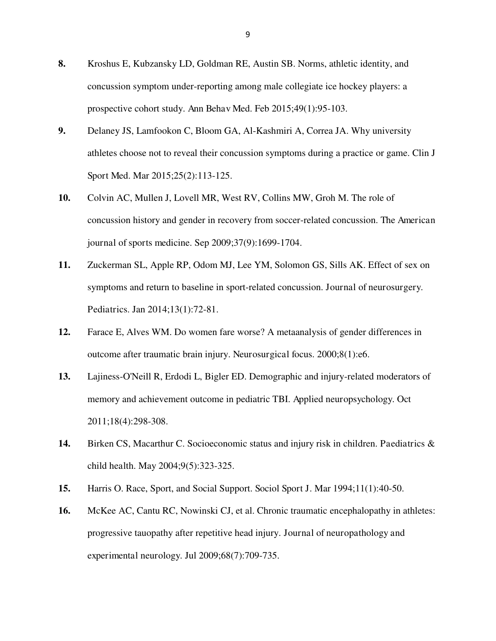- **8.** Kroshus E, Kubzansky LD, Goldman RE, Austin SB. Norms, athletic identity, and concussion symptom under-reporting among male collegiate ice hockey players: a prospective cohort study. Ann Behav Med. Feb 2015;49(1):95-103.
- **9.** Delaney JS, Lamfookon C, Bloom GA, Al-Kashmiri A, Correa JA. Why university athletes choose not to reveal their concussion symptoms during a practice or game. Clin J Sport Med. Mar 2015;25(2):113-125.
- **10.** Colvin AC, Mullen J, Lovell MR, West RV, Collins MW, Groh M. The role of concussion history and gender in recovery from soccer-related concussion. The American journal of sports medicine. Sep 2009;37(9):1699-1704.
- **11.** Zuckerman SL, Apple RP, Odom MJ, Lee YM, Solomon GS, Sills AK. Effect of sex on symptoms and return to baseline in sport-related concussion. Journal of neurosurgery. Pediatrics. Jan 2014;13(1):72-81.
- **12.** Farace E, Alves WM. Do women fare worse? A metaanalysis of gender differences in outcome after traumatic brain injury. Neurosurgical focus. 2000;8(1):e6.
- **13.** Lajiness-O'Neill R, Erdodi L, Bigler ED. Demographic and injury-related moderators of memory and achievement outcome in pediatric TBI. Applied neuropsychology. Oct 2011;18(4):298-308.
- **14.** Birken CS, Macarthur C. Socioeconomic status and injury risk in children. Paediatrics & child health. May 2004;9(5):323-325.
- **15.** Harris O. Race, Sport, and Social Support. Sociol Sport J. Mar 1994;11(1):40-50.
- **16.** McKee AC, Cantu RC, Nowinski CJ, et al. Chronic traumatic encephalopathy in athletes: progressive tauopathy after repetitive head injury. Journal of neuropathology and experimental neurology. Jul 2009;68(7):709-735.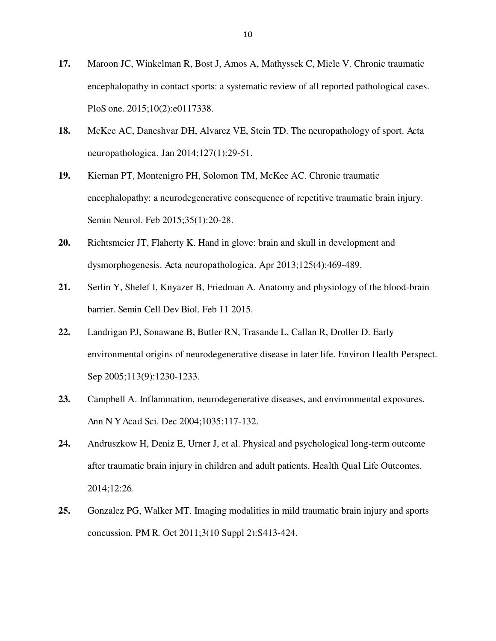- **17.** Maroon JC, Winkelman R, Bost J, Amos A, Mathyssek C, Miele V. Chronic traumatic encephalopathy in contact sports: a systematic review of all reported pathological cases. PloS one. 2015;10(2):e0117338.
- **18.** McKee AC, Daneshvar DH, Alvarez VE, Stein TD. The neuropathology of sport. Acta neuropathologica. Jan 2014;127(1):29-51.
- **19.** Kiernan PT, Montenigro PH, Solomon TM, McKee AC. Chronic traumatic encephalopathy: a neurodegenerative consequence of repetitive traumatic brain injury. Semin Neurol. Feb 2015;35(1):20-28.
- **20.** Richtsmeier JT, Flaherty K. Hand in glove: brain and skull in development and dysmorphogenesis. Acta neuropathologica. Apr 2013;125(4):469-489.
- **21.** Serlin Y, Shelef I, Knyazer B, Friedman A. Anatomy and physiology of the blood-brain barrier. Semin Cell Dev Biol. Feb 11 2015.
- **22.** Landrigan PJ, Sonawane B, Butler RN, Trasande L, Callan R, Droller D. Early environmental origins of neurodegenerative disease in later life. Environ Health Perspect. Sep 2005;113(9):1230-1233.
- **23.** Campbell A. Inflammation, neurodegenerative diseases, and environmental exposures. Ann N Y Acad Sci. Dec 2004;1035:117-132.
- **24.** Andruszkow H, Deniz E, Urner J, et al. Physical and psychological long-term outcome after traumatic brain injury in children and adult patients. Health Qual Life Outcomes. 2014;12:26.
- **25.** Gonzalez PG, Walker MT. Imaging modalities in mild traumatic brain injury and sports concussion. PM R. Oct 2011;3(10 Suppl 2):S413-424.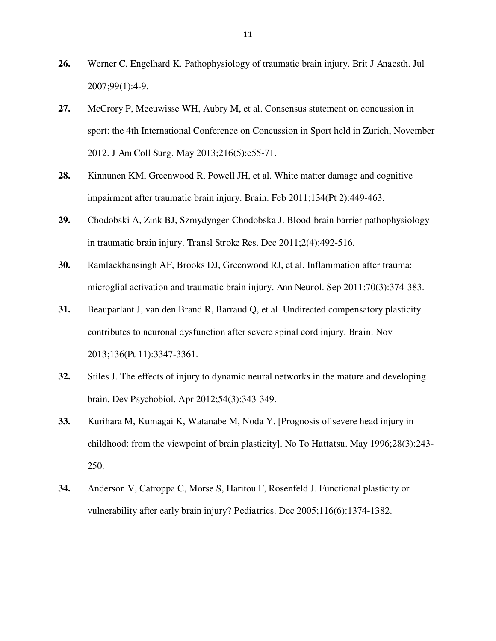- **26.** Werner C, Engelhard K. Pathophysiology of traumatic brain injury. Brit J Anaesth. Jul 2007;99(1):4-9.
- **27.** McCrory P, Meeuwisse WH, Aubry M, et al. Consensus statement on concussion in sport: the 4th International Conference on Concussion in Sport held in Zurich, November 2012. J Am Coll Surg. May 2013;216(5):e55-71.
- **28.** Kinnunen KM, Greenwood R, Powell JH, et al. White matter damage and cognitive impairment after traumatic brain injury. Brain. Feb 2011;134(Pt 2):449-463.
- **29.** Chodobski A, Zink BJ, Szmydynger-Chodobska J. Blood-brain barrier pathophysiology in traumatic brain injury. Transl Stroke Res. Dec 2011;2(4):492-516.
- **30.** Ramlackhansingh AF, Brooks DJ, Greenwood RJ, et al. Inflammation after trauma: microglial activation and traumatic brain injury. Ann Neurol. Sep 2011;70(3):374-383.
- **31.** Beauparlant J, van den Brand R, Barraud Q, et al. Undirected compensatory plasticity contributes to neuronal dysfunction after severe spinal cord injury. Brain. Nov 2013;136(Pt 11):3347-3361.
- **32.** Stiles J. The effects of injury to dynamic neural networks in the mature and developing brain. Dev Psychobiol. Apr 2012;54(3):343-349.
- **33.** Kurihara M, Kumagai K, Watanabe M, Noda Y. [Prognosis of severe head injury in childhood: from the viewpoint of brain plasticity]. No To Hattatsu. May 1996;28(3):243- 250.
- **34.** Anderson V, Catroppa C, Morse S, Haritou F, Rosenfeld J. Functional plasticity or vulnerability after early brain injury? Pediatrics. Dec 2005;116(6):1374-1382.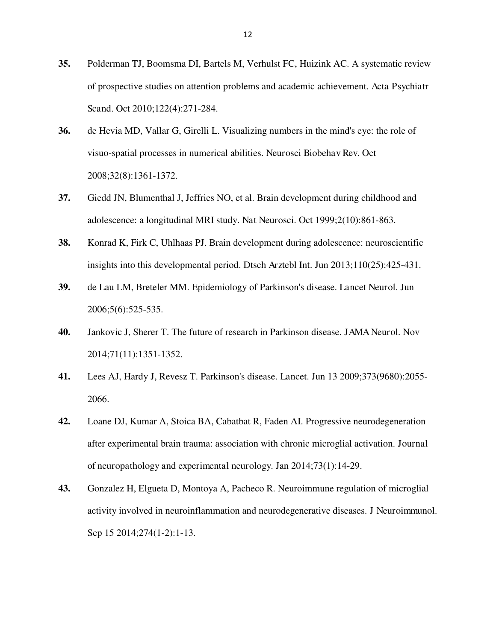- **35.** Polderman TJ, Boomsma DI, Bartels M, Verhulst FC, Huizink AC. A systematic review of prospective studies on attention problems and academic achievement. Acta Psychiatr Scand. Oct 2010;122(4):271-284.
- **36.** de Hevia MD, Vallar G, Girelli L. Visualizing numbers in the mind's eye: the role of visuo-spatial processes in numerical abilities. Neurosci Biobehav Rev. Oct 2008;32(8):1361-1372.
- **37.** Giedd JN, Blumenthal J, Jeffries NO, et al. Brain development during childhood and adolescence: a longitudinal MRI study. Nat Neurosci. Oct 1999;2(10):861-863.
- **38.** Konrad K, Firk C, Uhlhaas PJ. Brain development during adolescence: neuroscientific insights into this developmental period. Dtsch Arztebl Int. Jun 2013;110(25):425-431.
- **39.** de Lau LM, Breteler MM. Epidemiology of Parkinson's disease. Lancet Neurol. Jun 2006;5(6):525-535.
- **40.** Jankovic J, Sherer T. The future of research in Parkinson disease. JAMA Neurol. Nov 2014;71(11):1351-1352.
- **41.** Lees AJ, Hardy J, Revesz T. Parkinson's disease. Lancet. Jun 13 2009;373(9680):2055- 2066.
- **42.** Loane DJ, Kumar A, Stoica BA, Cabatbat R, Faden AI. Progressive neurodegeneration after experimental brain trauma: association with chronic microglial activation. Journal of neuropathology and experimental neurology. Jan 2014;73(1):14-29.
- **43.** Gonzalez H, Elgueta D, Montoya A, Pacheco R. Neuroimmune regulation of microglial activity involved in neuroinflammation and neurodegenerative diseases. J Neuroimmunol. Sep 15 2014;274(1-2):1-13.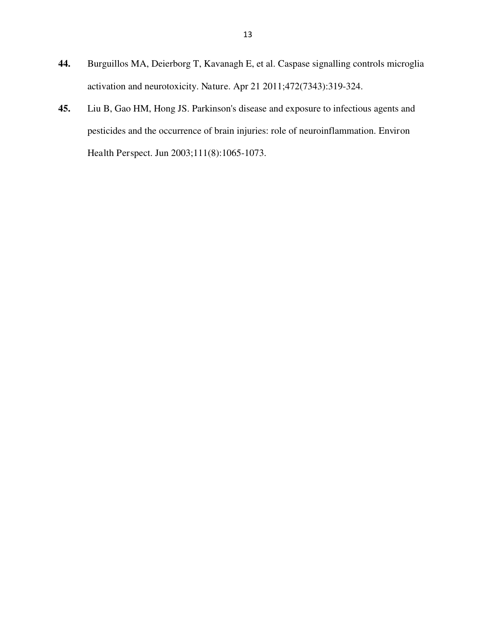- **44.** Burguillos MA, Deierborg T, Kavanagh E, et al. Caspase signalling controls microglia activation and neurotoxicity. Nature. Apr 21 2011;472(7343):319-324.
- **45.** Liu B, Gao HM, Hong JS. Parkinson's disease and exposure to infectious agents and pesticides and the occurrence of brain injuries: role of neuroinflammation. Environ Health Perspect. Jun 2003;111(8):1065-1073.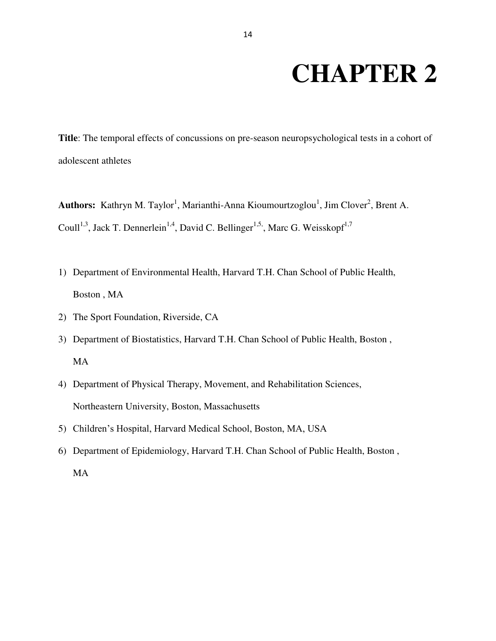# **CHAPTER 2**

**Title**: The temporal effects of concussions on pre-season neuropsychological tests in a cohort of adolescent athletes

Authors: Kathryn M. Taylor<sup>1</sup>, Marianthi-Anna Kioumourtzoglou<sup>1</sup>, Jim Clover<sup>2</sup>, Brent A. Coull<sup>1,3</sup>, Jack T. Dennerlein<sup>1,4</sup>, David C. Bellinger<sup>1,5,</sup>, Marc G. Weisskopf<sup>1,7</sup>

- 1) Department of Environmental Health, Harvard T.H. Chan School of Public Health, Boston , MA
- 2) The Sport Foundation, Riverside, CA
- 3) Department of Biostatistics, Harvard T.H. Chan School of Public Health, Boston , MA
- 4) Department of Physical Therapy, Movement, and Rehabilitation Sciences, Northeastern University, Boston, Massachusetts
- 5) Children's Hospital, Harvard Medical School, Boston, MA, USA
- 6) Department of Epidemiology, Harvard T.H. Chan School of Public Health, Boston , MA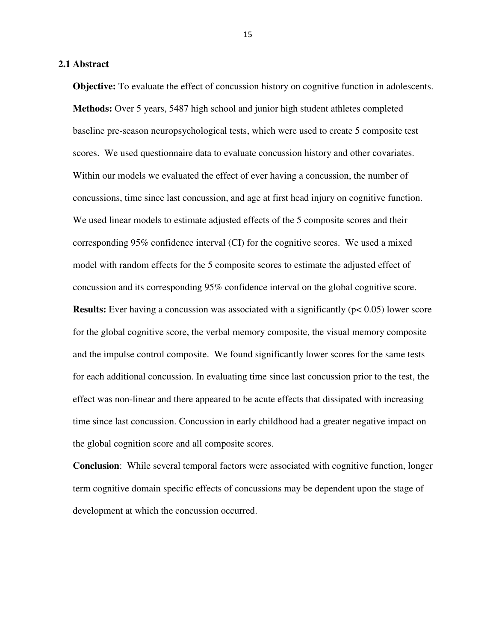#### **2.1 Abstract**

**Objective:** To evaluate the effect of concussion history on cognitive function in adolescents. **Methods:** Over 5 years, 5487 high school and junior high student athletes completed baseline pre-season neuropsychological tests, which were used to create 5 composite test scores. We used questionnaire data to evaluate concussion history and other covariates. Within our models we evaluated the effect of ever having a concussion, the number of concussions, time since last concussion, and age at first head injury on cognitive function. We used linear models to estimate adjusted effects of the 5 composite scores and their corresponding 95% confidence interval (CI) for the cognitive scores. We used a mixed model with random effects for the 5 composite scores to estimate the adjusted effect of concussion and its corresponding 95% confidence interval on the global cognitive score. **Results:** Ever having a concussion was associated with a significantly ( $p < 0.05$ ) lower score for the global cognitive score, the verbal memory composite, the visual memory composite and the impulse control composite. We found significantly lower scores for the same tests for each additional concussion. In evaluating time since last concussion prior to the test, the effect was non-linear and there appeared to be acute effects that dissipated with increasing time since last concussion. Concussion in early childhood had a greater negative impact on the global cognition score and all composite scores.

**Conclusion**: While several temporal factors were associated with cognitive function, longer term cognitive domain specific effects of concussions may be dependent upon the stage of development at which the concussion occurred.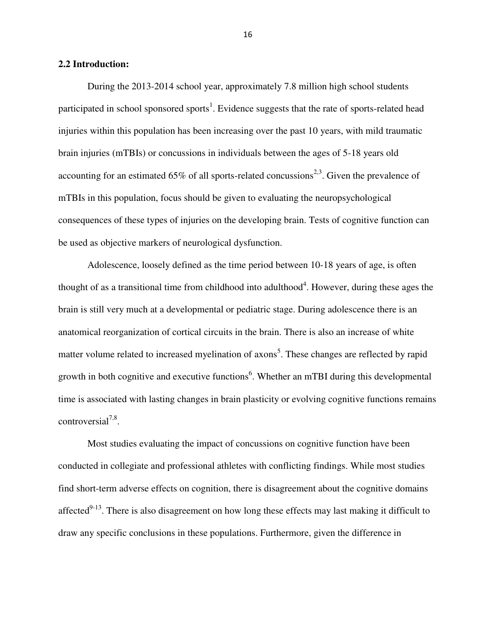#### **2.2 Introduction:**

During the 2013-2014 school year, approximately 7.8 million high school students participated in school sponsored sports<sup>1</sup>. Evidence suggests that the rate of sports-related head injuries within this population has been increasing over the past 10 years, with mild traumatic brain injuries (mTBIs) or concussions in individuals between the ages of 5-18 years old accounting for an estimated 65% of all sports-related concussions<sup>2,3</sup>. Given the prevalence of mTBIs in this population, focus should be given to evaluating the neuropsychological consequences of these types of injuries on the developing brain. Tests of cognitive function can be used as objective markers of neurological dysfunction.

Adolescence, loosely defined as the time period between 10-18 years of age, is often thought of as a transitional time from childhood into adulthood<sup>4</sup>. However, during these ages the brain is still very much at a developmental or pediatric stage. During adolescence there is an anatomical reorganization of cortical circuits in the brain. There is also an increase of white matter volume related to increased myelination of axons<sup>5</sup>. These changes are reflected by rapid growth in both cognitive and executive functions<sup>6</sup>. Whether an mTBI during this developmental time is associated with lasting changes in brain plasticity or evolving cognitive functions remains controversial<sup>7,8</sup>.

Most studies evaluating the impact of concussions on cognitive function have been conducted in collegiate and professional athletes with conflicting findings. While most studies find short-term adverse effects on cognition, there is disagreement about the cognitive domains affected $9-13$ . There is also disagreement on how long these effects may last making it difficult to draw any specific conclusions in these populations. Furthermore, given the difference in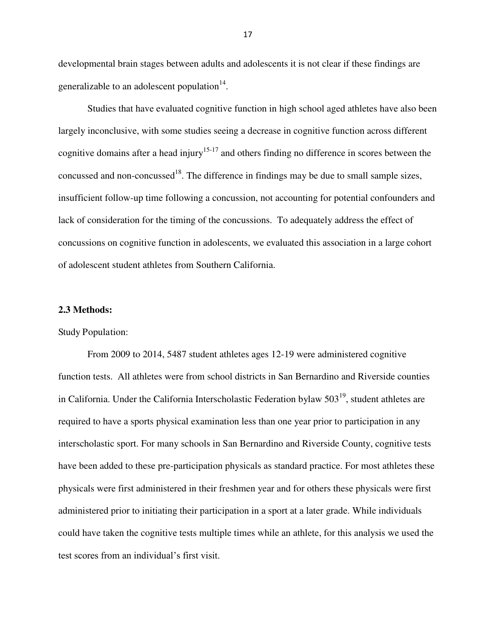developmental brain stages between adults and adolescents it is not clear if these findings are generalizable to an adolescent population $14$ .

Studies that have evaluated cognitive function in high school aged athletes have also been largely inconclusive, with some studies seeing a decrease in cognitive function across different cognitive domains after a head injury<sup>15-17</sup> and others finding no difference in scores between the concussed and non-concussed<sup>18</sup>. The difference in findings may be due to small sample sizes, insufficient follow-up time following a concussion, not accounting for potential confounders and lack of consideration for the timing of the concussions. To adequately address the effect of concussions on cognitive function in adolescents, we evaluated this association in a large cohort of adolescent student athletes from Southern California.

#### **2.3 Methods:**

#### Study Population:

From 2009 to 2014, 5487 student athletes ages 12-19 were administered cognitive function tests. All athletes were from school districts in San Bernardino and Riverside counties in California. Under the California Interscholastic Federation bylaw  $503<sup>19</sup>$ , student athletes are required to have a sports physical examination less than one year prior to participation in any interscholastic sport. For many schools in San Bernardino and Riverside County, cognitive tests have been added to these pre-participation physicals as standard practice. For most athletes these physicals were first administered in their freshmen year and for others these physicals were first administered prior to initiating their participation in a sport at a later grade. While individuals could have taken the cognitive tests multiple times while an athlete, for this analysis we used the test scores from an individual's first visit.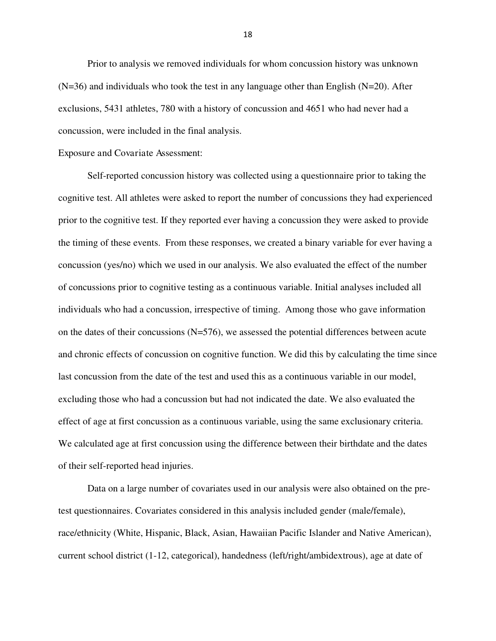Prior to analysis we removed individuals for whom concussion history was unknown  $(N=36)$  and individuals who took the test in any language other than English  $(N=20)$ . After exclusions, 5431 athletes, 780 with a history of concussion and 4651 who had never had a concussion, were included in the final analysis.

#### Exposure and Covariate Assessment:

Self-reported concussion history was collected using a questionnaire prior to taking the cognitive test. All athletes were asked to report the number of concussions they had experienced prior to the cognitive test. If they reported ever having a concussion they were asked to provide the timing of these events. From these responses, we created a binary variable for ever having a concussion (yes/no) which we used in our analysis. We also evaluated the effect of the number of concussions prior to cognitive testing as a continuous variable. Initial analyses included all individuals who had a concussion, irrespective of timing. Among those who gave information on the dates of their concussions (N=576), we assessed the potential differences between acute and chronic effects of concussion on cognitive function. We did this by calculating the time since last concussion from the date of the test and used this as a continuous variable in our model, excluding those who had a concussion but had not indicated the date. We also evaluated the effect of age at first concussion as a continuous variable, using the same exclusionary criteria. We calculated age at first concussion using the difference between their birthdate and the dates of their self-reported head injuries.

Data on a large number of covariates used in our analysis were also obtained on the pretest questionnaires. Covariates considered in this analysis included gender (male/female), race/ethnicity (White, Hispanic, Black, Asian, Hawaiian Pacific Islander and Native American), current school district (1-12, categorical), handedness (left/right/ambidextrous), age at date of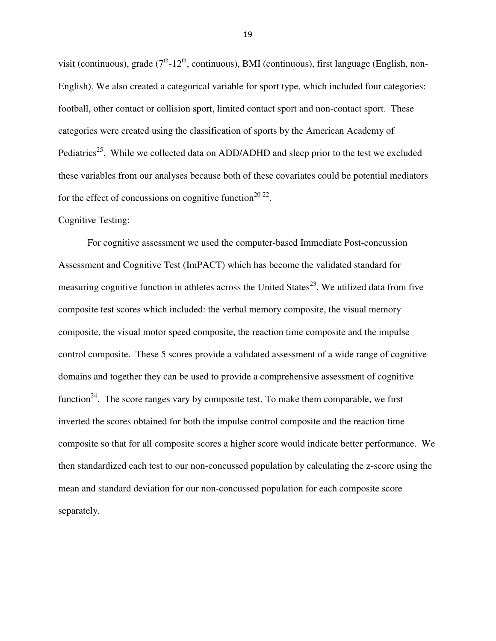visit (continuous), grade  $(7<sup>th</sup> - 12<sup>th</sup>$ , continuous), BMI (continuous), first language (English, non-English). We also created a categorical variable for sport type, which included four categories: football, other contact or collision sport, limited contact sport and non-contact sport. These categories were created using the classification of sports by the American Academy of Pediatrics<sup>25</sup>. While we collected data on ADD/ADHD and sleep prior to the test we excluded these variables from our analyses because both of these covariates could be potential mediators for the effect of concussions on cognitive function<sup>20-22</sup>.

#### Cognitive Testing:

For cognitive assessment we used the computer-based Immediate Post-concussion Assessment and Cognitive Test (ImPACT) which has become the validated standard for measuring cognitive function in athletes across the United States<sup>23</sup>. We utilized data from five composite test scores which included: the verbal memory composite, the visual memory composite, the visual motor speed composite, the reaction time composite and the impulse control composite. These 5 scores provide a validated assessment of a wide range of cognitive domains and together they can be used to provide a comprehensive assessment of cognitive function<sup>24</sup>. The score ranges vary by composite test. To make them comparable, we first inverted the scores obtained for both the impulse control composite and the reaction time composite so that for all composite scores a higher score would indicate better performance. We then standardized each test to our non-concussed population by calculating the z-score using the mean and standard deviation for our non-concussed population for each composite score separately.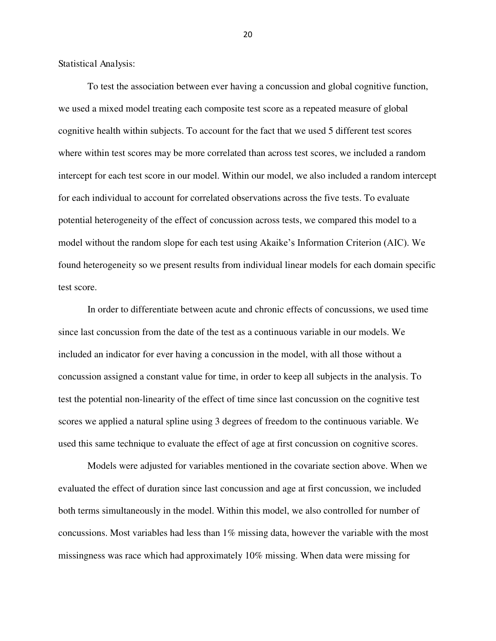Statistical Analysis:

To test the association between ever having a concussion and global cognitive function, we used a mixed model treating each composite test score as a repeated measure of global cognitive health within subjects. To account for the fact that we used 5 different test scores where within test scores may be more correlated than across test scores, we included a random intercept for each test score in our model. Within our model, we also included a random intercept for each individual to account for correlated observations across the five tests. To evaluate potential heterogeneity of the effect of concussion across tests, we compared this model to a model without the random slope for each test using Akaike's Information Criterion (AIC). We found heterogeneity so we present results from individual linear models for each domain specific test score.

In order to differentiate between acute and chronic effects of concussions, we used time since last concussion from the date of the test as a continuous variable in our models. We included an indicator for ever having a concussion in the model, with all those without a concussion assigned a constant value for time, in order to keep all subjects in the analysis. To test the potential non-linearity of the effect of time since last concussion on the cognitive test scores we applied a natural spline using 3 degrees of freedom to the continuous variable. We used this same technique to evaluate the effect of age at first concussion on cognitive scores.

Models were adjusted for variables mentioned in the covariate section above. When we evaluated the effect of duration since last concussion and age at first concussion, we included both terms simultaneously in the model. Within this model, we also controlled for number of concussions. Most variables had less than 1% missing data, however the variable with the most missingness was race which had approximately 10% missing. When data were missing for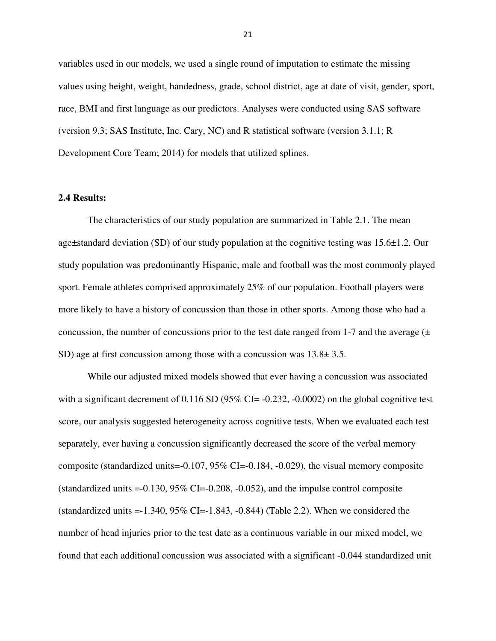variables used in our models, we used a single round of imputation to estimate the missing values using height, weight, handedness, grade, school district, age at date of visit, gender, sport, race, BMI and first language as our predictors. Analyses were conducted using SAS software (version 9.3; SAS Institute, Inc. Cary, NC) and R statistical software (version 3.1.1; R Development Core Team; 2014) for models that utilized splines.

#### **2.4 Results:**

The characteristics of our study population are summarized in Table 2.1. The mean age±standard deviation (SD) of our study population at the cognitive testing was 15.6±1.2. Our study population was predominantly Hispanic, male and football was the most commonly played sport. Female athletes comprised approximately 25% of our population. Football players were more likely to have a history of concussion than those in other sports. Among those who had a concussion, the number of concussions prior to the test date ranged from 1-7 and the average  $(±)$ SD) age at first concussion among those with a concussion was 13.8± 3.5.

While our adjusted mixed models showed that ever having a concussion was associated with a significant decrement of  $0.116$  SD ( $95\%$  CI= -0.232, -0.0002) on the global cognitive test score, our analysis suggested heterogeneity across cognitive tests. When we evaluated each test separately, ever having a concussion significantly decreased the score of the verbal memory composite (standardized units=-0.107, 95% CI=-0.184, -0.029), the visual memory composite (standardized units  $=$  -0.130, 95% CI $=$  -0.208, -0.052), and the impulse control composite (standardized units  $=1.340, 95\%$  CI $=1.843, -0.844$ ) (Table 2.2). When we considered the number of head injuries prior to the test date as a continuous variable in our mixed model, we found that each additional concussion was associated with a significant -0.044 standardized unit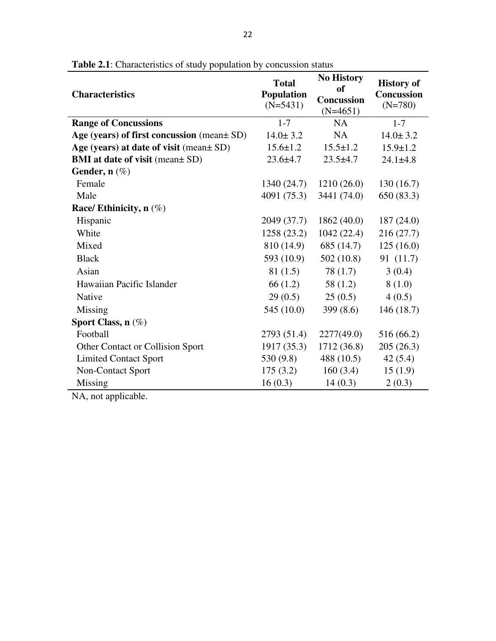| <b>Characteristics</b>                          | <b>Total</b><br><b>Population</b><br>$(N=5431)$ | <b>No History</b><br><b>of</b><br><b>Concussion</b><br>$(N=4651)$ | <b>History of</b><br><b>Concussion</b><br>$(N=780)$ |  |
|-------------------------------------------------|-------------------------------------------------|-------------------------------------------------------------------|-----------------------------------------------------|--|
| <b>Range of Concussions</b>                     | $1 - 7$                                         | <b>NA</b>                                                         | $1 - 7$                                             |  |
| Age (years) of first concussion (mean $\pm$ SD) | $14.0 \pm 3.2$                                  | <b>NA</b>                                                         | $14.0 \pm 3.2$                                      |  |
| Age (years) at date of visit (mean ± SD)        | $15.6 \pm 1.2$                                  | $15.5 \pm 1.2$                                                    | $15.9 \pm 1.2$                                      |  |
| <b>BMI</b> at date of visit (mean ± SD)         | $23.6 \pm 4.7$                                  | $23.5 + 4.7$                                                      | $24.1 \pm 4.8$                                      |  |
| Gender, $n$ (%)                                 |                                                 |                                                                   |                                                     |  |
| Female                                          | 1340(24.7)                                      | 1210(26.0)                                                        | 130(16.7)                                           |  |
| Male                                            | 4091 (75.3)                                     | 3441 (74.0)                                                       | 650 (83.3)                                          |  |
| Race/ Ethinicity, $n$ (%)                       |                                                 |                                                                   |                                                     |  |
| Hispanic                                        | 2049 (37.7)                                     | 1862(40.0)                                                        | 187(24.0)                                           |  |
| White                                           | 1258 (23.2)                                     | 1042(22.4)                                                        | 216 (27.7)                                          |  |
| Mixed                                           | 810 (14.9)                                      | 685 (14.7)                                                        | 125(16.0)                                           |  |
| <b>Black</b>                                    | 593 (10.9)                                      | 502(10.8)                                                         | 91 (11.7)                                           |  |
| Asian                                           | 81(1.5)                                         | 78(1.7)                                                           | 3(0.4)                                              |  |
| Hawaiian Pacific Islander                       | 66 (1.2)                                        | 58 $(1.2)$                                                        | 8(1.0)                                              |  |
| Native                                          | 29(0.5)                                         | 25(0.5)                                                           | 4(0.5)                                              |  |
| Missing                                         | 545 (10.0)                                      | 399 $(8.6)$                                                       | 146(18.7)                                           |  |
| Sport Class, $n(\%)$                            |                                                 |                                                                   |                                                     |  |
| Football                                        | 2793 (51.4)                                     | 2277(49.0)                                                        | 516 (66.2)                                          |  |
| Other Contact or Collision Sport                | 1917 (35.3)                                     | 1712(36.8)                                                        | 205(26.3)                                           |  |
| <b>Limited Contact Sport</b>                    | 530 (9.8)                                       | 488 (10.5)                                                        | 42(5.4)                                             |  |
| Non-Contact Sport                               | 175(3.2)                                        | 160(3.4)                                                          | 15(1.9)                                             |  |
| Missing                                         | 16(0.3)                                         | 14(0.3)                                                           | 2(0.3)                                              |  |

**Table 2.1**: Characteristics of study population by concussion status

NA, not applicable.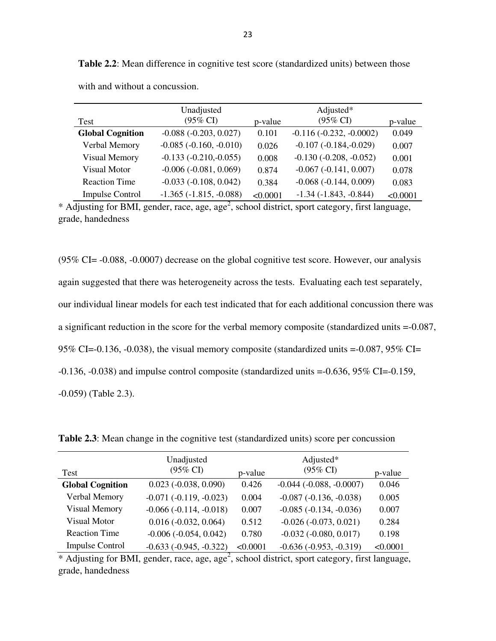**Table 2.2**: Mean difference in cognitive test score (standardized units) between those

| Test                    | Unadjusted<br>$(95\% \text{ CI})$ | p-value  | Adjusted*<br>$(95\%$ CI)   | p-value  |
|-------------------------|-----------------------------------|----------|----------------------------|----------|
| <b>Global Cognition</b> | $-0.088 (-0.203, 0.027)$          | 0.101    | $-0.116(-0.232, -0.0002)$  | 0.049    |
| Verbal Memory           | $-0.085$ $(-0.160, -0.010)$       | 0.026    | $-0.107(-0.184,-0.029)$    | 0.007    |
| <b>Visual Memory</b>    | $-0.133(-0.210,-0.055)$           | 0.008    | $-0.130(-0.208, -0.052)$   | 0.001    |
| <b>Visual Motor</b>     | $-0.006 (-0.081, 0.069)$          | 0.874    | $-0.067(-0.141, 0.007)$    | 0.078    |
| <b>Reaction Time</b>    | $-0.033(-0.108, 0.042)$           | 0.384    | $-0.068(-0.144, 0.009)$    | 0.083    |
| <b>Impulse Control</b>  | $-1.365(-1.815, -0.088)$          | < 0.0001 | $-1.34$ $(-1.843, -0.844)$ | < 0.0001 |

with and without a concussion.

 $*$  Adjusting for BMI, gender, race, age, age<sup>2</sup>, school district, sport category, first language, grade, handedness

(95% CI= -0.088, -0.0007) decrease on the global cognitive test score. However, our analysis again suggested that there was heterogeneity across the tests. Evaluating each test separately, our individual linear models for each test indicated that for each additional concussion there was a significant reduction in the score for the verbal memory composite (standardized units =-0.087, 95% CI=-0.136, -0.038), the visual memory composite (standardized units  $=$ -0.087, 95% CI= -0.136, -0.038) and impulse control composite (standardized units =-0.636, 95% CI=-0.159, -0.059) (Table 2.3).

**Table 2.3**: Mean change in the cognitive test (standardized units) score per concussion

| Test                    | Unadjusted<br>$(95\% \text{ CI})$ | p-value  | Adjusted*<br>$(95\% \text{ CI})$ | p-value  |
|-------------------------|-----------------------------------|----------|----------------------------------|----------|
| <b>Global Cognition</b> | $0.023$ ( $-0.038$ , $0.090$ )    | 0.426    | $-0.044$ $(-0.088, -0.0007)$     | 0.046    |
| Verbal Memory           | $-0.071(-0.119, -0.023)$          | 0.004    | $-0.087(-0.136, -0.038)$         | 0.005    |
| <b>Visual Memory</b>    | $-0.066(-0.114, -0.018)$          | 0.007    | $-0.085(-0.134, -0.036)$         | 0.007    |
| <b>Visual Motor</b>     | $0.016 (-0.032, 0.064)$           | 0.512    | $-0.026(-0.073, 0.021)$          | 0.284    |
| <b>Reaction Time</b>    | $-0.006$ $(-0.054, 0.042)$        | 0.780    | $-0.032$ $(-0.080, 0.017)$       | 0.198    |
| <b>Impulse Control</b>  | $-0.633(-0.945, -0.322)$          | < 0.0001 | $-0.636(-0.953, -0.319)$         | < 0.0001 |

\* Adjusting for BMI, gender, race, age, age<sup>2</sup>, school district, sport category, first language, grade, handedness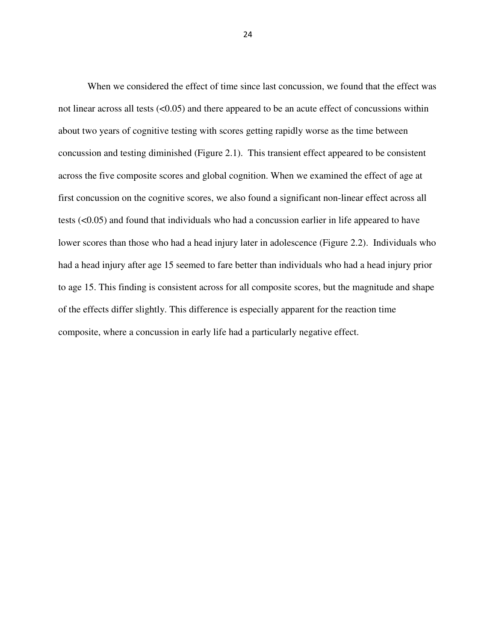When we considered the effect of time since last concussion, we found that the effect was not linear across all tests  $(<0.05$ ) and there appeared to be an acute effect of concussions within about two years of cognitive testing with scores getting rapidly worse as the time between concussion and testing diminished (Figure 2.1). This transient effect appeared to be consistent across the five composite scores and global cognition. When we examined the effect of age at first concussion on the cognitive scores, we also found a significant non-linear effect across all tests (<0.05) and found that individuals who had a concussion earlier in life appeared to have lower scores than those who had a head injury later in adolescence (Figure 2.2). Individuals who had a head injury after age 15 seemed to fare better than individuals who had a head injury prior to age 15. This finding is consistent across for all composite scores, but the magnitude and shape of the effects differ slightly. This difference is especially apparent for the reaction time composite, where a concussion in early life had a particularly negative effect.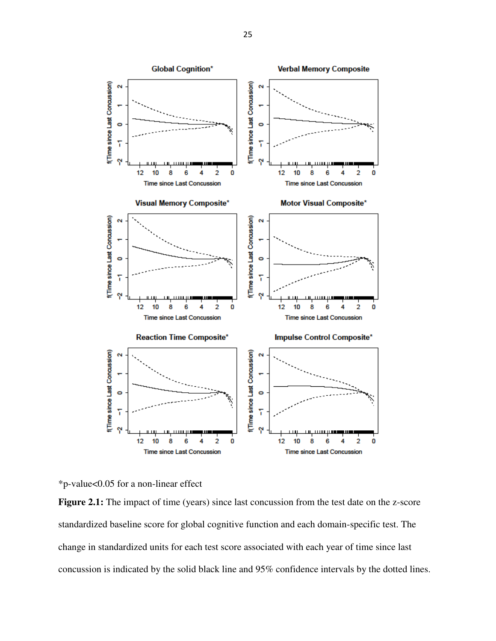

\*p-value<0.05 for a non-linear effect

**Figure 2.1:** The impact of time (years) since last concussion from the test date on the z-score standardized baseline score for global cognitive function and each domain-specific test. The change in standardized units for each test score associated with each year of time since last concussion is indicated by the solid black line and 95% confidence intervals by the dotted lines.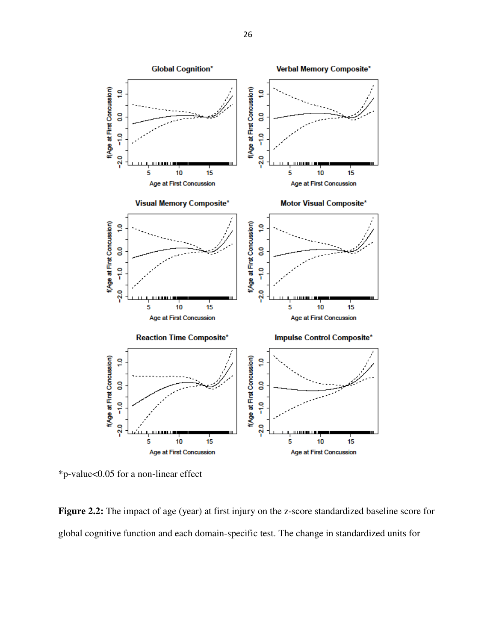

\*p-value<0.05 for a non-linear effect

**Figure 2.2:** The impact of age (year) at first injury on the z-score standardized baseline score for global cognitive function and each domain-specific test. The change in standardized units for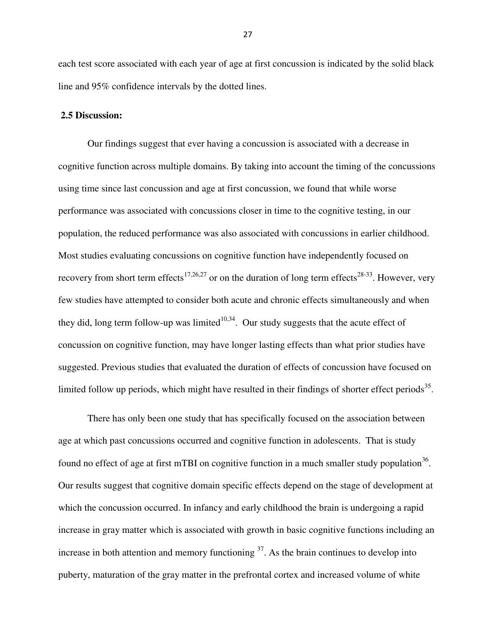each test score associated with each year of age at first concussion is indicated by the solid black line and 95% confidence intervals by the dotted lines.

#### **2.5 Discussion:**

Our findings suggest that ever having a concussion is associated with a decrease in cognitive function across multiple domains. By taking into account the timing of the concussions using time since last concussion and age at first concussion, we found that while worse performance was associated with concussions closer in time to the cognitive testing, in our population, the reduced performance was also associated with concussions in earlier childhood. Most studies evaluating concussions on cognitive function have independently focused on recovery from short term effects<sup>17,26,27</sup> or on the duration of long term effects<sup>28-33</sup>. However, very few studies have attempted to consider both acute and chronic effects simultaneously and when they did, long term follow-up was limited $10,34$ . Our study suggests that the acute effect of concussion on cognitive function, may have longer lasting effects than what prior studies have suggested. Previous studies that evaluated the duration of effects of concussion have focused on limited follow up periods, which might have resulted in their findings of shorter effect periods<sup>35</sup>.

There has only been one study that has specifically focused on the association between age at which past concussions occurred and cognitive function in adolescents. That is study found no effect of age at first mTBI on cognitive function in a much smaller study population<sup>36</sup>. Our results suggest that cognitive domain specific effects depend on the stage of development at which the concussion occurred. In infancy and early childhood the brain is undergoing a rapid increase in gray matter which is associated with growth in basic cognitive functions including an increase in both attention and memory functioning  $37$ . As the brain continues to develop into puberty, maturation of the gray matter in the prefrontal cortex and increased volume of white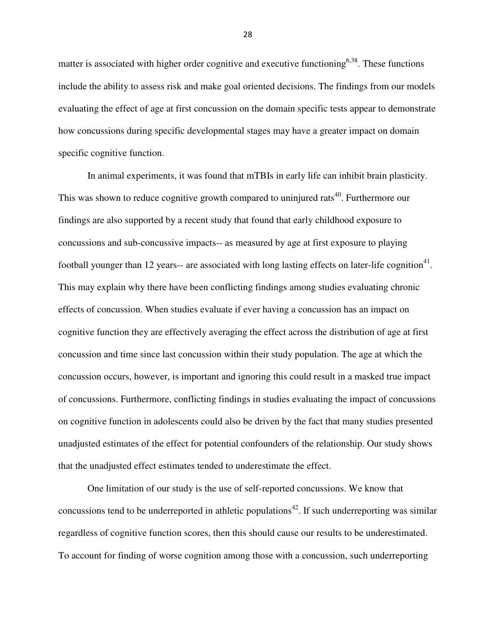matter is associated with higher order cognitive and executive functioning<sup>6,38</sup>. These functions include the ability to assess risk and make goal oriented decisions. The findings from our models evaluating the effect of age at first concussion on the domain specific tests appear to demonstrate how concussions during specific developmental stages may have a greater impact on domain specific cognitive function.

In animal experiments, it was found that mTBIs in early life can inhibit brain plasticity. This was shown to reduce cognitive growth compared to uninjured rats<sup>40</sup>. Furthermore our findings are also supported by a recent study that found that early childhood exposure to concussions and sub-concussive impacts-- as measured by age at first exposure to playing football younger than 12 years-- are associated with long lasting effects on later-life cognition<sup>41</sup>. This may explain why there have been conflicting findings among studies evaluating chronic effects of concussion. When studies evaluate if ever having a concussion has an impact on cognitive function they are effectively averaging the effect across the distribution of age at first concussion and time since last concussion within their study population. The age at which the concussion occurs, however, is important and ignoring this could result in a masked true impact of concussions. Furthermore, conflicting findings in studies evaluating the impact of concussions on cognitive function in adolescents could also be driven by the fact that many studies presented unadjusted estimates of the effect for potential confounders of the relationship. Our study shows that the unadjusted effect estimates tended to underestimate the effect.

One limitation of our study is the use of self-reported concussions. We know that concussions tend to be underreported in athletic populations<sup>42</sup>. If such underreporting was similar regardless of cognitive function scores, then this should cause our results to be underestimated. To account for finding of worse cognition among those with a concussion, such underreporting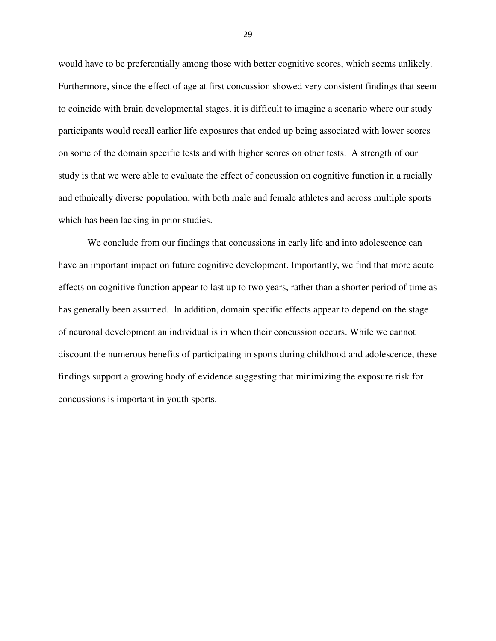would have to be preferentially among those with better cognitive scores, which seems unlikely. Furthermore, since the effect of age at first concussion showed very consistent findings that seem to coincide with brain developmental stages, it is difficult to imagine a scenario where our study participants would recall earlier life exposures that ended up being associated with lower scores on some of the domain specific tests and with higher scores on other tests. A strength of our study is that we were able to evaluate the effect of concussion on cognitive function in a racially and ethnically diverse population, with both male and female athletes and across multiple sports which has been lacking in prior studies.

We conclude from our findings that concussions in early life and into adolescence can have an important impact on future cognitive development. Importantly, we find that more acute effects on cognitive function appear to last up to two years, rather than a shorter period of time as has generally been assumed. In addition, domain specific effects appear to depend on the stage of neuronal development an individual is in when their concussion occurs. While we cannot discount the numerous benefits of participating in sports during childhood and adolescence, these findings support a growing body of evidence suggesting that minimizing the exposure risk for concussions is important in youth sports.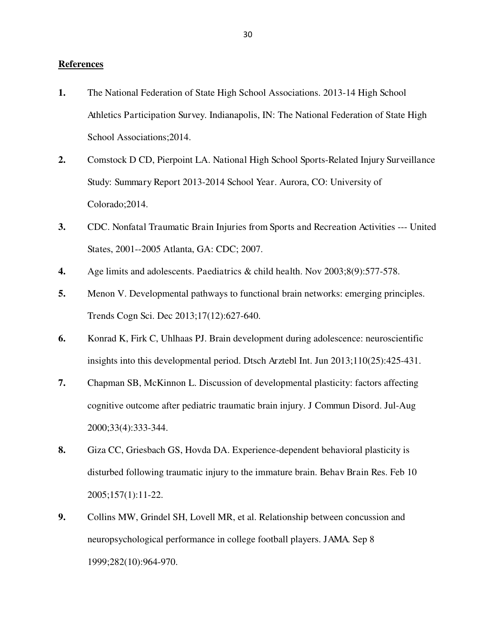## **References**

- **1.** The National Federation of State High School Associations. 2013-14 High School Athletics Participation Survey. Indianapolis, IN: The National Federation of State High School Associations;2014.
- **2.** Comstock D CD, Pierpoint LA. National High School Sports-Related Injury Surveillance Study: Summary Report 2013-2014 School Year. Aurora, CO: University of Colorado;2014.
- **3.** CDC. Nonfatal Traumatic Brain Injuries from Sports and Recreation Activities --- United States, 2001--2005 Atlanta, GA: CDC; 2007.
- **4.** Age limits and adolescents. Paediatrics & child health. Nov 2003;8(9):577-578.
- **5.** Menon V. Developmental pathways to functional brain networks: emerging principles. Trends Cogn Sci. Dec 2013;17(12):627-640.
- **6.** Konrad K, Firk C, Uhlhaas PJ. Brain development during adolescence: neuroscientific insights into this developmental period. Dtsch Arztebl Int. Jun 2013;110(25):425-431.
- **7.** Chapman SB, McKinnon L. Discussion of developmental plasticity: factors affecting cognitive outcome after pediatric traumatic brain injury. J Commun Disord. Jul-Aug 2000;33(4):333-344.
- **8.** Giza CC, Griesbach GS, Hovda DA. Experience-dependent behavioral plasticity is disturbed following traumatic injury to the immature brain. Behav Brain Res. Feb 10 2005;157(1):11-22.
- **9.** Collins MW, Grindel SH, Lovell MR, et al. Relationship between concussion and neuropsychological performance in college football players. JAMA. Sep 8 1999;282(10):964-970.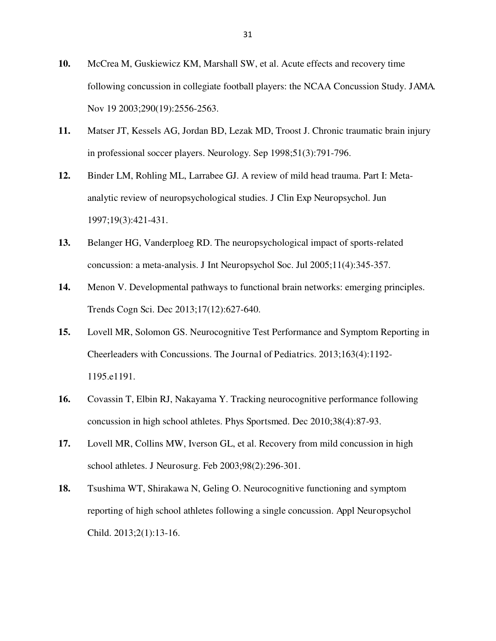- **10.** McCrea M, Guskiewicz KM, Marshall SW, et al. Acute effects and recovery time following concussion in collegiate football players: the NCAA Concussion Study. JAMA. Nov 19 2003;290(19):2556-2563.
- **11.** Matser JT, Kessels AG, Jordan BD, Lezak MD, Troost J. Chronic traumatic brain injury in professional soccer players. Neurology. Sep 1998;51(3):791-796.
- **12.** Binder LM, Rohling ML, Larrabee GJ. A review of mild head trauma. Part I: Metaanalytic review of neuropsychological studies. J Clin Exp Neuropsychol. Jun 1997;19(3):421-431.
- **13.** Belanger HG, Vanderploeg RD. The neuropsychological impact of sports-related concussion: a meta-analysis. J Int Neuropsychol Soc. Jul 2005;11(4):345-357.
- **14.** Menon V. Developmental pathways to functional brain networks: emerging principles. Trends Cogn Sci. Dec 2013;17(12):627-640.
- **15.** Lovell MR, Solomon GS. Neurocognitive Test Performance and Symptom Reporting in Cheerleaders with Concussions. The Journal of Pediatrics. 2013;163(4):1192- 1195.e1191.
- **16.** Covassin T, Elbin RJ, Nakayama Y. Tracking neurocognitive performance following concussion in high school athletes. Phys Sportsmed. Dec 2010;38(4):87-93.
- **17.** Lovell MR, Collins MW, Iverson GL, et al. Recovery from mild concussion in high school athletes. J Neurosurg. Feb 2003;98(2):296-301.
- **18.** Tsushima WT, Shirakawa N, Geling O. Neurocognitive functioning and symptom reporting of high school athletes following a single concussion. Appl Neuropsychol Child. 2013;2(1):13-16.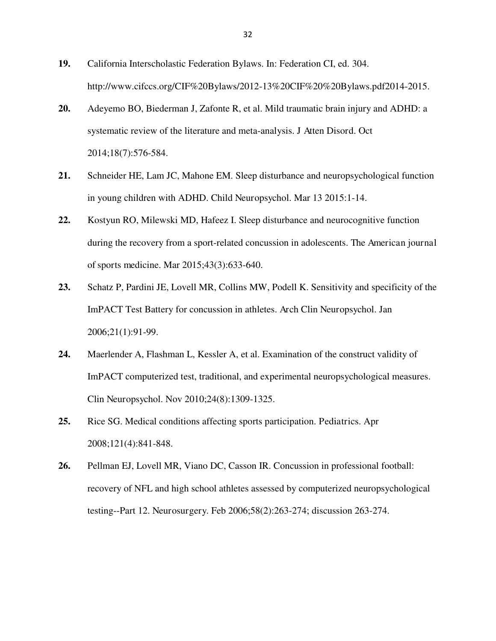- **19.** California Interscholastic Federation Bylaws. In: Federation CI, ed. 304. http://www.cifccs.org/CIF%20Bylaws/2012-13%20CIF%20%20Bylaws.pdf2014-2015.
- **20.** Adeyemo BO, Biederman J, Zafonte R, et al. Mild traumatic brain injury and ADHD: a systematic review of the literature and meta-analysis. J Atten Disord. Oct 2014;18(7):576-584.
- **21.** Schneider HE, Lam JC, Mahone EM. Sleep disturbance and neuropsychological function in young children with ADHD. Child Neuropsychol. Mar 13 2015:1-14.
- **22.** Kostyun RO, Milewski MD, Hafeez I. Sleep disturbance and neurocognitive function during the recovery from a sport-related concussion in adolescents. The American journal of sports medicine. Mar 2015;43(3):633-640.
- **23.** Schatz P, Pardini JE, Lovell MR, Collins MW, Podell K. Sensitivity and specificity of the ImPACT Test Battery for concussion in athletes. Arch Clin Neuropsychol. Jan 2006;21(1):91-99.
- **24.** Maerlender A, Flashman L, Kessler A, et al. Examination of the construct validity of ImPACT computerized test, traditional, and experimental neuropsychological measures. Clin Neuropsychol. Nov 2010;24(8):1309-1325.
- **25.** Rice SG. Medical conditions affecting sports participation. Pediatrics. Apr 2008;121(4):841-848.
- **26.** Pellman EJ, Lovell MR, Viano DC, Casson IR. Concussion in professional football: recovery of NFL and high school athletes assessed by computerized neuropsychological testing--Part 12. Neurosurgery. Feb 2006;58(2):263-274; discussion 263-274.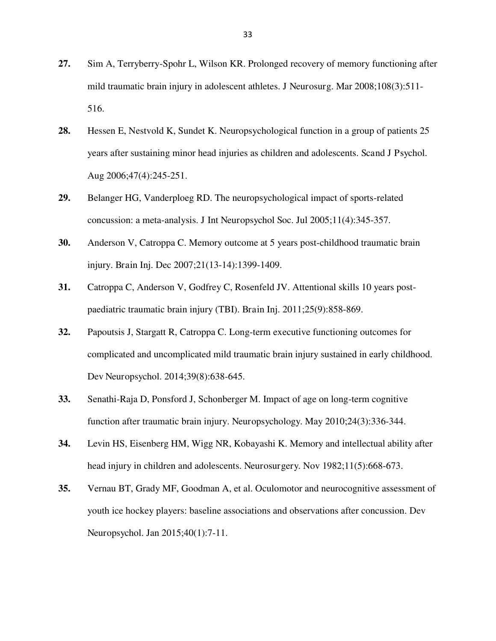- **27.** Sim A, Terryberry-Spohr L, Wilson KR. Prolonged recovery of memory functioning after mild traumatic brain injury in adolescent athletes. J Neurosurg. Mar 2008;108(3):511- 516.
- **28.** Hessen E, Nestvold K, Sundet K. Neuropsychological function in a group of patients 25 years after sustaining minor head injuries as children and adolescents. Scand J Psychol. Aug 2006;47(4):245-251.
- **29.** Belanger HG, Vanderploeg RD. The neuropsychological impact of sports-related concussion: a meta-analysis. J Int Neuropsychol Soc. Jul 2005;11(4):345-357.
- **30.** Anderson V, Catroppa C. Memory outcome at 5 years post-childhood traumatic brain injury. Brain Inj. Dec 2007;21(13-14):1399-1409.
- **31.** Catroppa C, Anderson V, Godfrey C, Rosenfeld JV. Attentional skills 10 years postpaediatric traumatic brain injury (TBI). Brain Inj. 2011;25(9):858-869.
- **32.** Papoutsis J, Stargatt R, Catroppa C. Long-term executive functioning outcomes for complicated and uncomplicated mild traumatic brain injury sustained in early childhood. Dev Neuropsychol. 2014;39(8):638-645.
- **33.** Senathi-Raja D, Ponsford J, Schonberger M. Impact of age on long-term cognitive function after traumatic brain injury. Neuropsychology. May 2010;24(3):336-344.
- **34.** Levin HS, Eisenberg HM, Wigg NR, Kobayashi K. Memory and intellectual ability after head injury in children and adolescents. Neurosurgery. Nov 1982;11(5):668-673.
- **35.** Vernau BT, Grady MF, Goodman A, et al. Oculomotor and neurocognitive assessment of youth ice hockey players: baseline associations and observations after concussion. Dev Neuropsychol. Jan 2015;40(1):7-11.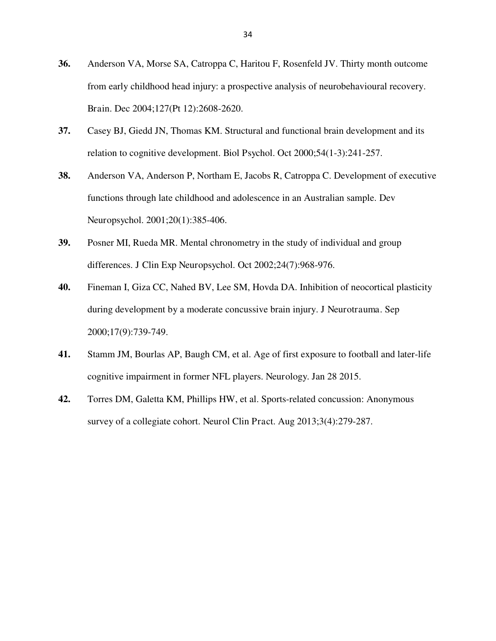- **36.** Anderson VA, Morse SA, Catroppa C, Haritou F, Rosenfeld JV. Thirty month outcome from early childhood head injury: a prospective analysis of neurobehavioural recovery. Brain. Dec 2004;127(Pt 12):2608-2620.
- **37.** Casey BJ, Giedd JN, Thomas KM. Structural and functional brain development and its relation to cognitive development. Biol Psychol. Oct 2000;54(1-3):241-257.
- **38.** Anderson VA, Anderson P, Northam E, Jacobs R, Catroppa C. Development of executive functions through late childhood and adolescence in an Australian sample. Dev Neuropsychol. 2001;20(1):385-406.
- **39.** Posner MI, Rueda MR. Mental chronometry in the study of individual and group differences. J Clin Exp Neuropsychol. Oct 2002;24(7):968-976.
- **40.** Fineman I, Giza CC, Nahed BV, Lee SM, Hovda DA. Inhibition of neocortical plasticity during development by a moderate concussive brain injury. J Neurotrauma. Sep 2000;17(9):739-749.
- **41.** Stamm JM, Bourlas AP, Baugh CM, et al. Age of first exposure to football and later-life cognitive impairment in former NFL players. Neurology. Jan 28 2015.
- **42.** Torres DM, Galetta KM, Phillips HW, et al. Sports-related concussion: Anonymous survey of a collegiate cohort. Neurol Clin Pract. Aug 2013;3(4):279-287.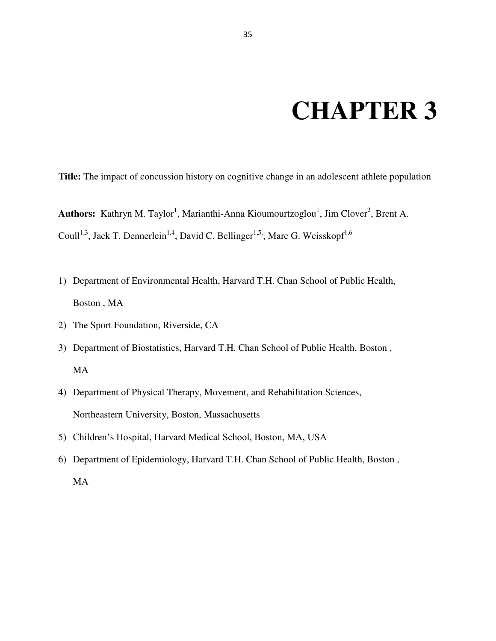# **CHAPTER 3**

**Title:** The impact of concussion history on cognitive change in an adolescent athlete population

Authors: Kathryn M. Taylor<sup>1</sup>, Marianthi-Anna Kioumourtzoglou<sup>1</sup>, Jim Clover<sup>2</sup>, Brent A. Coull<sup>1,3</sup>, Jack T. Dennerlein<sup>1,4</sup>, David C. Bellinger<sup>1,5,</sup>, Marc G. Weisskopf<sup>1,6</sup>

- 1) Department of Environmental Health, Harvard T.H. Chan School of Public Health, Boston , MA
- 2) The Sport Foundation, Riverside, CA
- 3) Department of Biostatistics, Harvard T.H. Chan School of Public Health, Boston , MA
- 4) Department of Physical Therapy, Movement, and Rehabilitation Sciences, Northeastern University, Boston, Massachusetts
- 5) Children's Hospital, Harvard Medical School, Boston, MA, USA
- 6) Department of Epidemiology, Harvard T.H. Chan School of Public Health, Boston , MA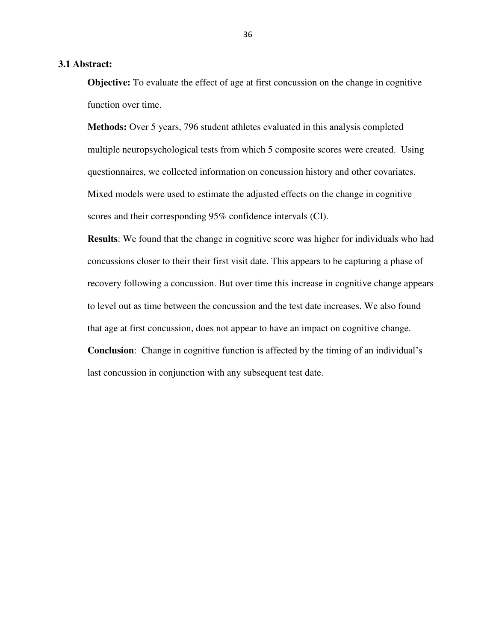## **3.1 Abstract:**

**Objective:** To evaluate the effect of age at first concussion on the change in cognitive function over time.

**Methods:** Over 5 years, 796 student athletes evaluated in this analysis completed multiple neuropsychological tests from which 5 composite scores were created. Using questionnaires, we collected information on concussion history and other covariates. Mixed models were used to estimate the adjusted effects on the change in cognitive scores and their corresponding 95% confidence intervals (CI).

**Results**: We found that the change in cognitive score was higher for individuals who had concussions closer to their their first visit date. This appears to be capturing a phase of recovery following a concussion. But over time this increase in cognitive change appears to level out as time between the concussion and the test date increases. We also found that age at first concussion, does not appear to have an impact on cognitive change.

**Conclusion**: Change in cognitive function is affected by the timing of an individual's last concussion in conjunction with any subsequent test date.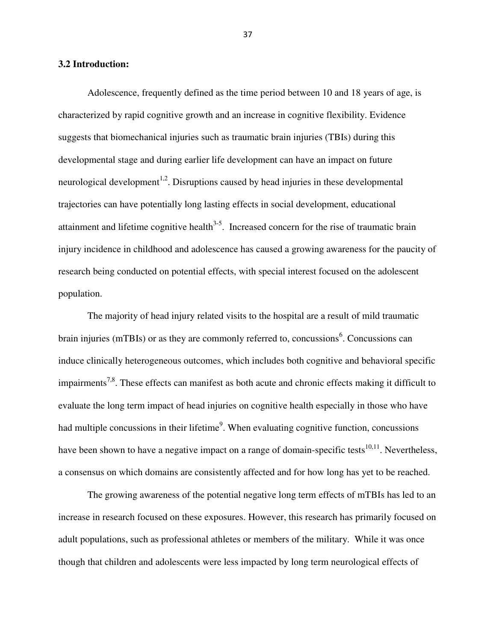#### **3.2 Introduction:**

 Adolescence, frequently defined as the time period between 10 and 18 years of age, is characterized by rapid cognitive growth and an increase in cognitive flexibility. Evidence suggests that biomechanical injuries such as traumatic brain injuries (TBIs) during this developmental stage and during earlier life development can have an impact on future neurological development<sup>1,2</sup>. Disruptions caused by head injuries in these developmental trajectories can have potentially long lasting effects in social development, educational attainment and lifetime cognitive health $3-5$ . Increased concern for the rise of traumatic brain injury incidence in childhood and adolescence has caused a growing awareness for the paucity of research being conducted on potential effects, with special interest focused on the adolescent population.

The majority of head injury related visits to the hospital are a result of mild traumatic brain injuries (mTBIs) or as they are commonly referred to, concussions<sup>6</sup>. Concussions can induce clinically heterogeneous outcomes, which includes both cognitive and behavioral specific impairments<sup>7,8</sup>. These effects can manifest as both acute and chronic effects making it difficult to evaluate the long term impact of head injuries on cognitive health especially in those who have had multiple concussions in their lifetime<sup>9</sup>. When evaluating cognitive function, concussions have been shown to have a negative impact on a range of domain-specific tests<sup>10,11</sup>. Nevertheless, a consensus on which domains are consistently affected and for how long has yet to be reached.

The growing awareness of the potential negative long term effects of mTBIs has led to an increase in research focused on these exposures. However, this research has primarily focused on adult populations, such as professional athletes or members of the military. While it was once though that children and adolescents were less impacted by long term neurological effects of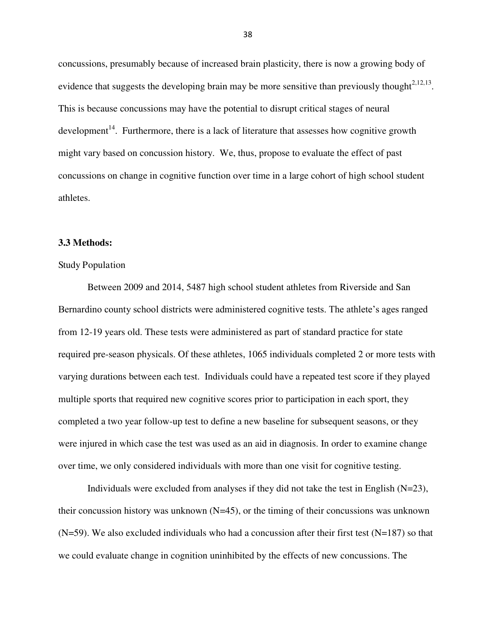concussions, presumably because of increased brain plasticity, there is now a growing body of evidence that suggests the developing brain may be more sensitive than previously thought<sup> $2,12,13$ </sup>. This is because concussions may have the potential to disrupt critical stages of neural development<sup>14</sup>. Furthermore, there is a lack of literature that assesses how cognitive growth might vary based on concussion history. We, thus, propose to evaluate the effect of past concussions on change in cognitive function over time in a large cohort of high school student athletes.

## **3.3 Methods:**

#### Study Population

 Between 2009 and 2014, 5487 high school student athletes from Riverside and San Bernardino county school districts were administered cognitive tests. The athlete's ages ranged from 12-19 years old. These tests were administered as part of standard practice for state required pre-season physicals. Of these athletes, 1065 individuals completed 2 or more tests with varying durations between each test. Individuals could have a repeated test score if they played multiple sports that required new cognitive scores prior to participation in each sport, they completed a two year follow-up test to define a new baseline for subsequent seasons, or they were injured in which case the test was used as an aid in diagnosis. In order to examine change over time, we only considered individuals with more than one visit for cognitive testing.

Individuals were excluded from analyses if they did not take the test in English  $(N=23)$ , their concussion history was unknown  $(N=45)$ , or the timing of their concussions was unknown  $(N=59)$ . We also excluded individuals who had a concussion after their first test  $(N=187)$  so that we could evaluate change in cognition uninhibited by the effects of new concussions. The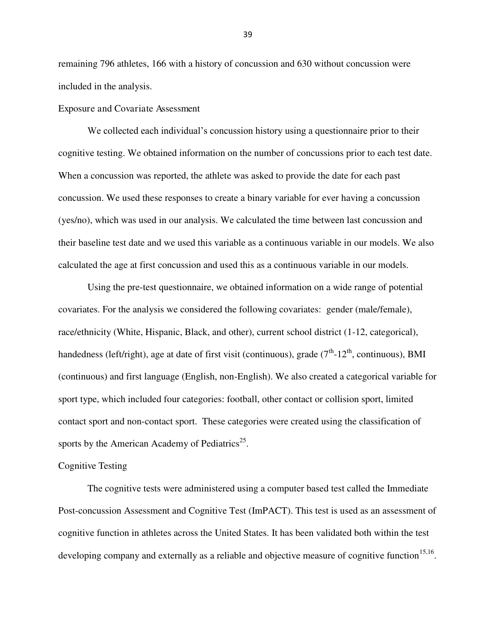remaining 796 athletes, 166 with a history of concussion and 630 without concussion were included in the analysis.

Exposure and Covariate Assessment

We collected each individual's concussion history using a questionnaire prior to their cognitive testing. We obtained information on the number of concussions prior to each test date. When a concussion was reported, the athlete was asked to provide the date for each past concussion. We used these responses to create a binary variable for ever having a concussion (yes/no), which was used in our analysis. We calculated the time between last concussion and their baseline test date and we used this variable as a continuous variable in our models. We also calculated the age at first concussion and used this as a continuous variable in our models.

 Using the pre-test questionnaire, we obtained information on a wide range of potential covariates. For the analysis we considered the following covariates: gender (male/female), race/ethnicity (White, Hispanic, Black, and other), current school district (1-12, categorical), handedness (left/right), age at date of first visit (continuous), grade  $(7<sup>th</sup>-12<sup>th</sup>$ , continuous), BMI (continuous) and first language (English, non-English). We also created a categorical variable for sport type, which included four categories: football, other contact or collision sport, limited contact sport and non-contact sport. These categories were created using the classification of sports by the American Academy of Pediatrics<sup>25</sup>.

#### Cognitive Testing

The cognitive tests were administered using a computer based test called the Immediate Post-concussion Assessment and Cognitive Test (ImPACT). This test is used as an assessment of cognitive function in athletes across the United States. It has been validated both within the test developing company and externally as a reliable and objective measure of cognitive function  $15,16$ .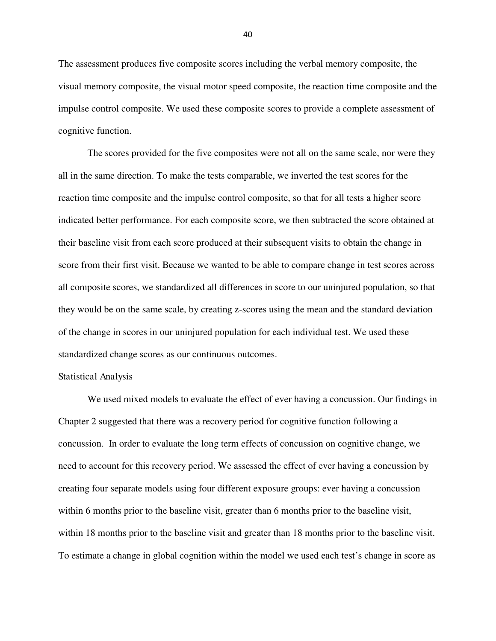The assessment produces five composite scores including the verbal memory composite, the visual memory composite, the visual motor speed composite, the reaction time composite and the impulse control composite. We used these composite scores to provide a complete assessment of cognitive function.

The scores provided for the five composites were not all on the same scale, nor were they all in the same direction. To make the tests comparable, we inverted the test scores for the reaction time composite and the impulse control composite, so that for all tests a higher score indicated better performance. For each composite score, we then subtracted the score obtained at their baseline visit from each score produced at their subsequent visits to obtain the change in score from their first visit. Because we wanted to be able to compare change in test scores across all composite scores, we standardized all differences in score to our uninjured population, so that they would be on the same scale, by creating z-scores using the mean and the standard deviation of the change in scores in our uninjured population for each individual test. We used these standardized change scores as our continuous outcomes.

#### Statistical Analysis

 We used mixed models to evaluate the effect of ever having a concussion. Our findings in Chapter 2 suggested that there was a recovery period for cognitive function following a concussion. In order to evaluate the long term effects of concussion on cognitive change, we need to account for this recovery period. We assessed the effect of ever having a concussion by creating four separate models using four different exposure groups: ever having a concussion within 6 months prior to the baseline visit, greater than 6 months prior to the baseline visit, within 18 months prior to the baseline visit and greater than 18 months prior to the baseline visit. To estimate a change in global cognition within the model we used each test's change in score as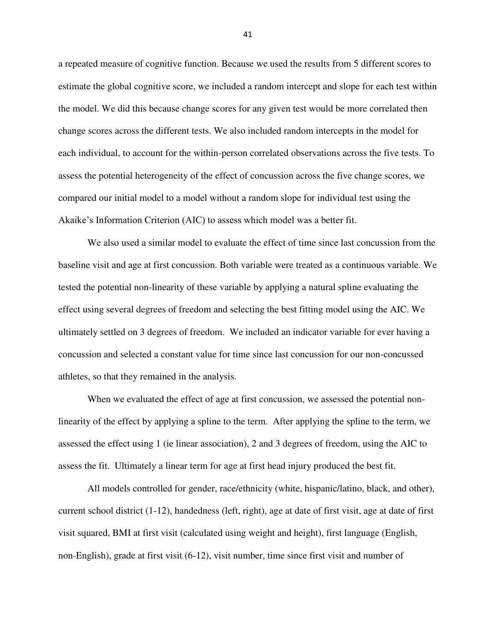a repeated measure of cognitive function. Because we used the results from 5 different scores to estimate the global cognitive score, we included a random intercept and slope for each test within the model. We did this because change scores for any given test would be more correlated then change scores across the different tests. We also included random intercepts in the model for each individual, to account for the within-person correlated observations across the five tests. To assess the potential heterogeneity of the effect of concussion across the five change scores, we compared our initial model to a model without a random slope for individual test using the Akaike's Information Criterion (AIC) to assess which model was a better fit.

 We also used a similar model to evaluate the effect of time since last concussion from the baseline visit and age at first concussion. Both variable were treated as a continuous variable. We tested the potential non-linearity of these variable by applying a natural spline evaluating the effect using several degrees of freedom and selecting the best fitting model using the AIC. We ultimately settled on 3 degrees of freedom. We included an indicator variable for ever having a concussion and selected a constant value for time since last concussion for our non-concussed athletes, so that they remained in the analysis.

When we evaluated the effect of age at first concussion, we assessed the potential nonlinearity of the effect by applying a spline to the term. After applying the spline to the term, we assessed the effect using 1 (ie linear association), 2 and 3 degrees of freedom, using the AIC to assess the fit. Ultimately a linear term for age at first head injury produced the best fit.

All models controlled for gender, race/ethnicity (white, hispanic/latino, black, and other), current school district (1-12), handedness (left, right), age at date of first visit, age at date of first visit squared, BMI at first visit (calculated using weight and height), first language (English, non-English), grade at first visit (6-12), visit number, time since first visit and number of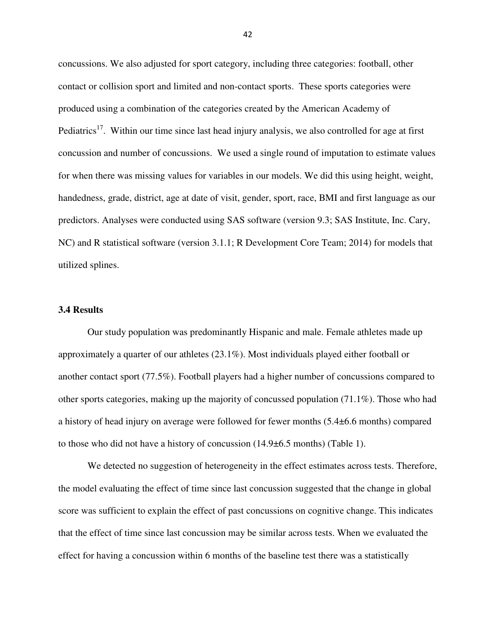concussions. We also adjusted for sport category, including three categories: football, other contact or collision sport and limited and non-contact sports. These sports categories were produced using a combination of the categories created by the American Academy of Pediatrics<sup>17</sup>. Within our time since last head injury analysis, we also controlled for age at first concussion and number of concussions. We used a single round of imputation to estimate values for when there was missing values for variables in our models. We did this using height, weight, handedness, grade, district, age at date of visit, gender, sport, race, BMI and first language as our predictors. Analyses were conducted using SAS software (version 9.3; SAS Institute, Inc. Cary, NC) and R statistical software (version 3.1.1; R Development Core Team; 2014) for models that utilized splines.

### **3.4 Results**

 Our study population was predominantly Hispanic and male. Female athletes made up approximately a quarter of our athletes (23.1%). Most individuals played either football or another contact sport (77.5%). Football players had a higher number of concussions compared to other sports categories, making up the majority of concussed population (71.1%). Those who had a history of head injury on average were followed for fewer months (5.4±6.6 months) compared to those who did not have a history of concussion (14.9±6.5 months) (Table 1).

We detected no suggestion of heterogeneity in the effect estimates across tests. Therefore, the model evaluating the effect of time since last concussion suggested that the change in global score was sufficient to explain the effect of past concussions on cognitive change. This indicates that the effect of time since last concussion may be similar across tests. When we evaluated the effect for having a concussion within 6 months of the baseline test there was a statistically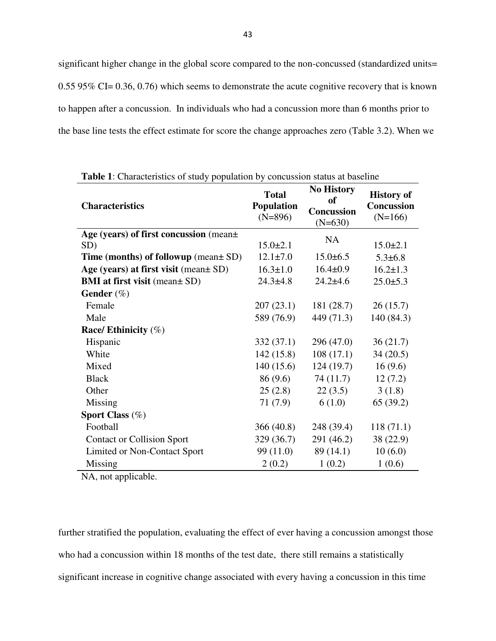significant higher change in the global score compared to the non-concussed (standardized units= 0.55 95% CI= 0.36, 0.76) which seems to demonstrate the acute cognitive recovery that is known to happen after a concussion. In individuals who had a concussion more than 6 months prior to the base line tests the effect estimate for score the change approaches zero (Table 3.2). When we

| <b>Characteristics</b>                    | <b>Total</b><br><b>Population</b><br>$(N=896)$ | <b>No History</b><br><sub>of</sub><br><b>Concussion</b><br>$(N=630)$ | <b>History of</b><br><b>Concussion</b><br>$(N=166)$ |
|-------------------------------------------|------------------------------------------------|----------------------------------------------------------------------|-----------------------------------------------------|
| Age (years) of first concussion (mean+    |                                                | <b>NA</b>                                                            |                                                     |
| SD)                                       | $15.0 \pm 2.1$                                 |                                                                      | $15.0 \pm 2.1$                                      |
| Time (months) of followup (mean $\pm$ SD) | $12.1 \pm 7.0$                                 | $15.0 \pm 6.5$                                                       | $5.3 \pm 6.8$                                       |
| Age (years) at first visit (mean ± SD)    | $16.3 \pm 1.0$                                 | $16.4 \pm 0.9$                                                       | $16.2 \pm 1.3$                                      |
| <b>BMI</b> at first visit (mean ± SD)     | $24.3 \pm 4.8$                                 | $24.2 \pm 4.6$                                                       | $25.0 + 5.3$                                        |
| Gender $(\%)$                             |                                                |                                                                      |                                                     |
| Female                                    | 207(23.1)                                      | 181(28.7)                                                            | 26(15.7)                                            |
| Male                                      | 589 (76.9)                                     | 449 (71.3)                                                           | 140 (84.3)                                          |
| Race/ Ethinicity $(\%)$                   |                                                |                                                                      |                                                     |
| Hispanic                                  | 332(37.1)                                      | 296 (47.0)                                                           | 36(21.7)                                            |
| White                                     | 142(15.8)                                      | 108(17.1)                                                            | 34(20.5)                                            |
| Mixed                                     | 140(15.6)                                      | 124(19.7)                                                            | 16(9.6)                                             |
| <b>Black</b>                              | 86 (9.6)                                       | 74 (11.7)                                                            | 12(7.2)                                             |
| Other                                     | 25(2.8)                                        | 22(3.5)                                                              | 3(1.8)                                              |
| Missing                                   | 71(7.9)                                        | 6(1.0)                                                               | 65(39.2)                                            |
| Sport Class $(\%)$                        |                                                |                                                                      |                                                     |
| Football                                  | 366(40.8)                                      | 248 (39.4)                                                           | 118(71.1)                                           |
| <b>Contact or Collision Sport</b>         | 329(36.7)                                      | 291 (46.2)                                                           | 38 (22.9)                                           |
| Limited or Non-Contact Sport              | 99 (11.0)                                      | 89(14.1)                                                             | 10(6.0)                                             |
| Missing                                   | 2(0.2)                                         | 1(0.2)                                                               | 1(0.6)                                              |

**Table 1**: Characteristics of study population by concussion status at baseline

NA, not applicable.

further stratified the population, evaluating the effect of ever having a concussion amongst those who had a concussion within 18 months of the test date, there still remains a statistically significant increase in cognitive change associated with every having a concussion in this time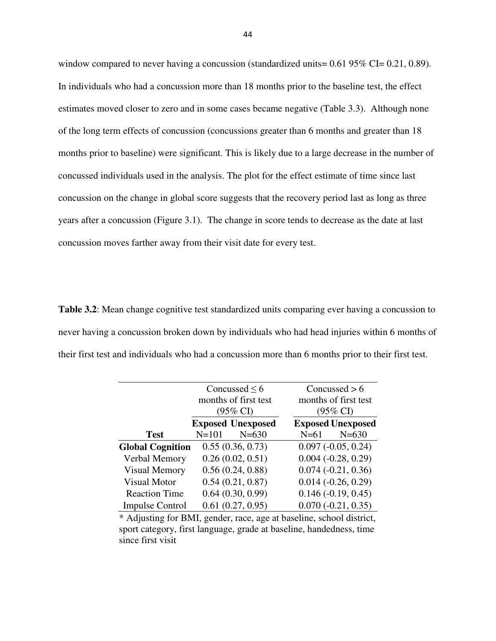window compared to never having a concussion (standardized units=  $0.6195\%$  CI=  $0.21$ ,  $0.89$ ). In individuals who had a concussion more than 18 months prior to the baseline test, the effect estimates moved closer to zero and in some cases became negative (Table 3.3). Although none of the long term effects of concussion (concussions greater than 6 months and greater than 18 months prior to baseline) were significant. This is likely due to a large decrease in the number of concussed individuals used in the analysis. The plot for the effect estimate of time since last concussion on the change in global score suggests that the recovery period last as long as three years after a concussion (Figure 3.1). The change in score tends to decrease as the date at last concussion moves farther away from their visit date for every test.

**Table 3.2**: Mean change cognitive test standardized units comparing ever having a concussion to never having a concussion broken down by individuals who had head injuries within 6 months of their first test and individuals who had a concussion more than 6 months prior to their first test.

|                         | Concussed $\leq 6$<br>months of first test<br>$(95\% \text{ CI})$ |                          |        | Concussed $> 6$<br>months of first test<br>$(95\% \text{ CI})$ |  |  |
|-------------------------|-------------------------------------------------------------------|--------------------------|--------|----------------------------------------------------------------|--|--|
|                         |                                                                   | <b>Exposed Unexposed</b> |        | <b>Exposed Unexposed</b>                                       |  |  |
| <b>Test</b>             | $N = 101$                                                         | $N = 630$                | $N=61$ | $N = 630$                                                      |  |  |
| <b>Global Cognition</b> |                                                                   | 0.55(0.36, 0.73)         |        | $0.097 (-0.05, 0.24)$                                          |  |  |
| Verbal Memory           |                                                                   | 0.26(0.02, 0.51)         |        | $0.004 (-0.28, 0.29)$                                          |  |  |
| <b>Visual Memory</b>    |                                                                   | 0.56(0.24, 0.88)         |        | $0.074(-0.21, 0.36)$                                           |  |  |
| <b>Visual Motor</b>     |                                                                   | 0.54(0.21, 0.87)         |        | $0.014 (-0.26, 0.29)$                                          |  |  |
| <b>Reaction Time</b>    |                                                                   | 0.64(0.30, 0.99)         |        | $0.146 (-0.19, 0.45)$                                          |  |  |
| <b>Impulse Control</b>  |                                                                   | 0.61(0.27, 0.95)         |        | $0.070(-0.21, 0.35)$                                           |  |  |

\* Adjusting for BMI, gender, race, age at baseline, school district, sport category, first language, grade at baseline, handedness, time since first visit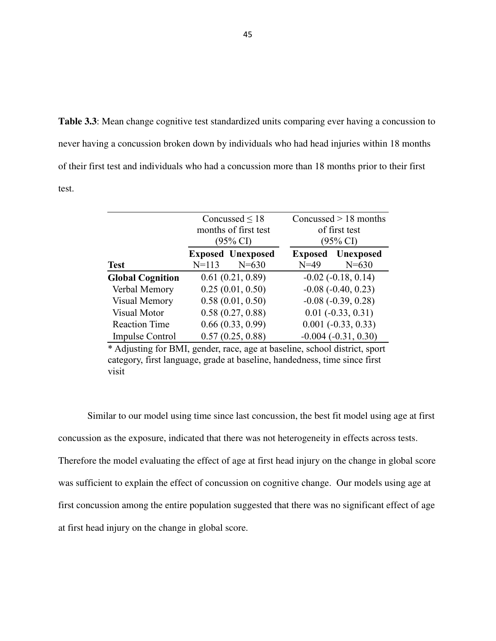**Table 3.3**: Mean change cognitive test standardized units comparing ever having a concussion to never having a concussion broken down by individuals who had head injuries within 18 months of their first test and individuals who had a concussion more than 18 months prior to their first test.

|                         | Concussed $\leq 18$<br>months of first test<br>$(95\% \text{ CI})$ |                                       | Concussed $> 18$ months<br>of first test<br>(95% CI) |                                       |  |
|-------------------------|--------------------------------------------------------------------|---------------------------------------|------------------------------------------------------|---------------------------------------|--|
| <b>Test</b>             | $N = 113$                                                          | <b>Exposed Unexposed</b><br>$N = 630$ | $N = 49$                                             | <b>Exposed</b> Unexposed<br>$N = 630$ |  |
| <b>Global Cognition</b> |                                                                    | 0.61(0.21, 0.89)                      |                                                      | $-0.02$ $(-0.18, 0.14)$               |  |
| Verbal Memory           |                                                                    | 0.25(0.01, 0.50)                      |                                                      | $-0.08$ $(-0.40, 0.23)$               |  |
| Visual Memory           |                                                                    | 0.58(0.01, 0.50)                      |                                                      | $-0.08$ $(-0.39, 0.28)$               |  |
| Visual Motor            |                                                                    | 0.58(0.27, 0.88)                      |                                                      | $0.01 (-0.33, 0.31)$                  |  |
| <b>Reaction Time</b>    |                                                                    | 0.66(0.33, 0.99)                      |                                                      | $0.001 (-0.33, 0.33)$                 |  |
| <b>Impulse Control</b>  |                                                                    | 0.57(0.25, 0.88)                      |                                                      | $-0.004(-0.31, 0.30)$                 |  |

\* Adjusting for BMI, gender, race, age at baseline, school district, sport category, first language, grade at baseline, handedness, time since first visit

 Similar to our model using time since last concussion, the best fit model using age at first concussion as the exposure, indicated that there was not heterogeneity in effects across tests.

Therefore the model evaluating the effect of age at first head injury on the change in global score was sufficient to explain the effect of concussion on cognitive change. Our models using age at first concussion among the entire population suggested that there was no significant effect of age at first head injury on the change in global score.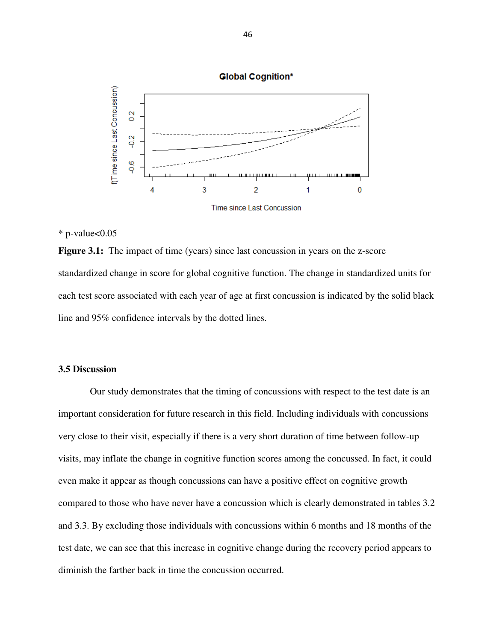

## $*$  p-value $< 0.05$

**Figure 3.1:** The impact of time (years) since last concussion in years on the z-score standardized change in score for global cognitive function. The change in standardized units for each test score associated with each year of age at first concussion is indicated by the solid black line and 95% confidence intervals by the dotted lines.

## **3.5 Discussion**

 Our study demonstrates that the timing of concussions with respect to the test date is an important consideration for future research in this field. Including individuals with concussions very close to their visit, especially if there is a very short duration of time between follow-up visits, may inflate the change in cognitive function scores among the concussed. In fact, it could even make it appear as though concussions can have a positive effect on cognitive growth compared to those who have never have a concussion which is clearly demonstrated in tables 3.2 and 3.3. By excluding those individuals with concussions within 6 months and 18 months of the test date, we can see that this increase in cognitive change during the recovery period appears to diminish the farther back in time the concussion occurred.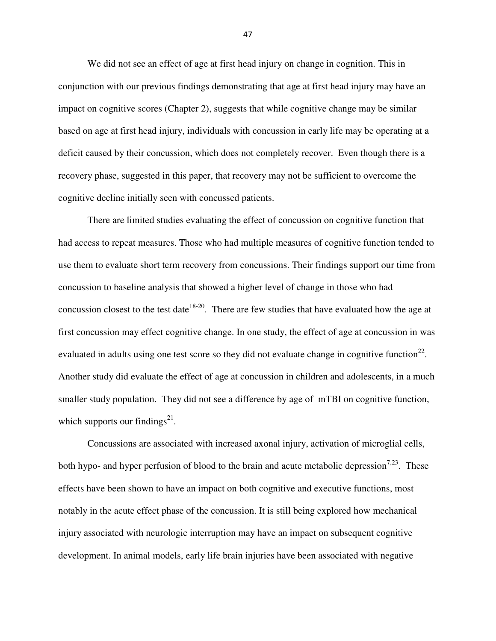We did not see an effect of age at first head injury on change in cognition. This in conjunction with our previous findings demonstrating that age at first head injury may have an impact on cognitive scores (Chapter 2), suggests that while cognitive change may be similar based on age at first head injury, individuals with concussion in early life may be operating at a deficit caused by their concussion, which does not completely recover. Even though there is a recovery phase, suggested in this paper, that recovery may not be sufficient to overcome the cognitive decline initially seen with concussed patients.

 There are limited studies evaluating the effect of concussion on cognitive function that had access to repeat measures. Those who had multiple measures of cognitive function tended to use them to evaluate short term recovery from concussions. Their findings support our time from concussion to baseline analysis that showed a higher level of change in those who had concussion closest to the test date<sup>18-20</sup>. There are few studies that have evaluated how the age at first concussion may effect cognitive change. In one study, the effect of age at concussion in was evaluated in adults using one test score so they did not evaluate change in cognitive function<sup>22</sup>. Another study did evaluate the effect of age at concussion in children and adolescents, in a much smaller study population. They did not see a difference by age of mTBI on cognitive function, which supports our findings $^{21}$ .

 Concussions are associated with increased axonal injury, activation of microglial cells, both hypo- and hyper perfusion of blood to the brain and acute metabolic depression<sup>7,23</sup>. These effects have been shown to have an impact on both cognitive and executive functions, most notably in the acute effect phase of the concussion. It is still being explored how mechanical injury associated with neurologic interruption may have an impact on subsequent cognitive development. In animal models, early life brain injuries have been associated with negative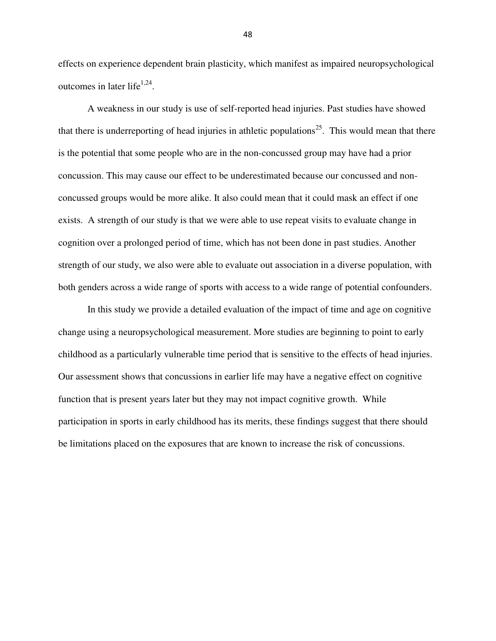effects on experience dependent brain plasticity, which manifest as impaired neuropsychological outcomes in later life<sup> $1,24$ </sup>.

 A weakness in our study is use of self-reported head injuries. Past studies have showed that there is underreporting of head injuries in athletic populations<sup>25</sup>. This would mean that there is the potential that some people who are in the non-concussed group may have had a prior concussion. This may cause our effect to be underestimated because our concussed and nonconcussed groups would be more alike. It also could mean that it could mask an effect if one exists. A strength of our study is that we were able to use repeat visits to evaluate change in cognition over a prolonged period of time, which has not been done in past studies. Another strength of our study, we also were able to evaluate out association in a diverse population, with both genders across a wide range of sports with access to a wide range of potential confounders.

In this study we provide a detailed evaluation of the impact of time and age on cognitive change using a neuropsychological measurement. More studies are beginning to point to early childhood as a particularly vulnerable time period that is sensitive to the effects of head injuries. Our assessment shows that concussions in earlier life may have a negative effect on cognitive function that is present years later but they may not impact cognitive growth. While participation in sports in early childhood has its merits, these findings suggest that there should be limitations placed on the exposures that are known to increase the risk of concussions.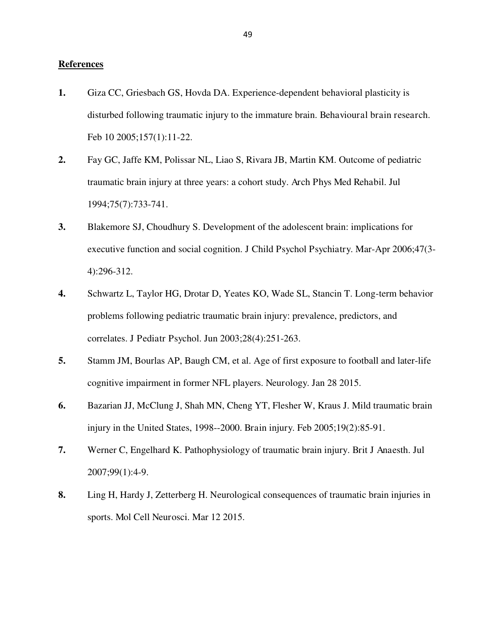## **References**

- **1.** Giza CC, Griesbach GS, Hovda DA. Experience-dependent behavioral plasticity is disturbed following traumatic injury to the immature brain. Behavioural brain research. Feb 10 2005;157(1):11-22.
- **2.** Fay GC, Jaffe KM, Polissar NL, Liao S, Rivara JB, Martin KM. Outcome of pediatric traumatic brain injury at three years: a cohort study. Arch Phys Med Rehabil. Jul 1994;75(7):733-741.
- **3.** Blakemore SJ, Choudhury S. Development of the adolescent brain: implications for executive function and social cognition. J Child Psychol Psychiatry. Mar-Apr 2006;47(3- 4):296-312.
- **4.** Schwartz L, Taylor HG, Drotar D, Yeates KO, Wade SL, Stancin T. Long-term behavior problems following pediatric traumatic brain injury: prevalence, predictors, and correlates. J Pediatr Psychol. Jun 2003;28(4):251-263.
- **5.** Stamm JM, Bourlas AP, Baugh CM, et al. Age of first exposure to football and later-life cognitive impairment in former NFL players. Neurology. Jan 28 2015.
- **6.** Bazarian JJ, McClung J, Shah MN, Cheng YT, Flesher W, Kraus J. Mild traumatic brain injury in the United States, 1998--2000. Brain injury. Feb 2005;19(2):85-91.
- **7.** Werner C, Engelhard K. Pathophysiology of traumatic brain injury. Brit J Anaesth. Jul 2007;99(1):4-9.
- **8.** Ling H, Hardy J, Zetterberg H. Neurological consequences of traumatic brain injuries in sports. Mol Cell Neurosci. Mar 12 2015.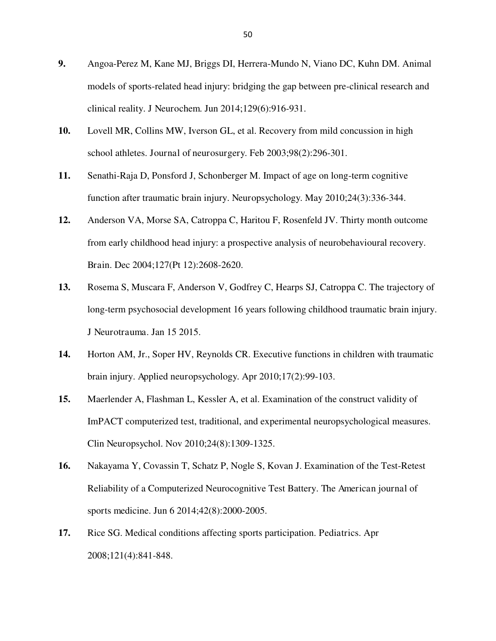- **9.** Angoa-Perez M, Kane MJ, Briggs DI, Herrera-Mundo N, Viano DC, Kuhn DM. Animal models of sports-related head injury: bridging the gap between pre-clinical research and clinical reality. J Neurochem. Jun 2014;129(6):916-931.
- **10.** Lovell MR, Collins MW, Iverson GL, et al. Recovery from mild concussion in high school athletes. Journal of neurosurgery. Feb 2003;98(2):296-301.
- **11.** Senathi-Raja D, Ponsford J, Schonberger M. Impact of age on long-term cognitive function after traumatic brain injury. Neuropsychology. May 2010;24(3):336-344.
- **12.** Anderson VA, Morse SA, Catroppa C, Haritou F, Rosenfeld JV. Thirty month outcome from early childhood head injury: a prospective analysis of neurobehavioural recovery. Brain. Dec 2004;127(Pt 12):2608-2620.
- **13.** Rosema S, Muscara F, Anderson V, Godfrey C, Hearps SJ, Catroppa C. The trajectory of long-term psychosocial development 16 years following childhood traumatic brain injury. J Neurotrauma. Jan 15 2015.
- **14.** Horton AM, Jr., Soper HV, Reynolds CR. Executive functions in children with traumatic brain injury. Applied neuropsychology. Apr 2010;17(2):99-103.
- **15.** Maerlender A, Flashman L, Kessler A, et al. Examination of the construct validity of ImPACT computerized test, traditional, and experimental neuropsychological measures. Clin Neuropsychol. Nov 2010;24(8):1309-1325.
- **16.** Nakayama Y, Covassin T, Schatz P, Nogle S, Kovan J. Examination of the Test-Retest Reliability of a Computerized Neurocognitive Test Battery. The American journal of sports medicine. Jun 6 2014;42(8):2000-2005.
- **17.** Rice SG. Medical conditions affecting sports participation. Pediatrics. Apr 2008;121(4):841-848.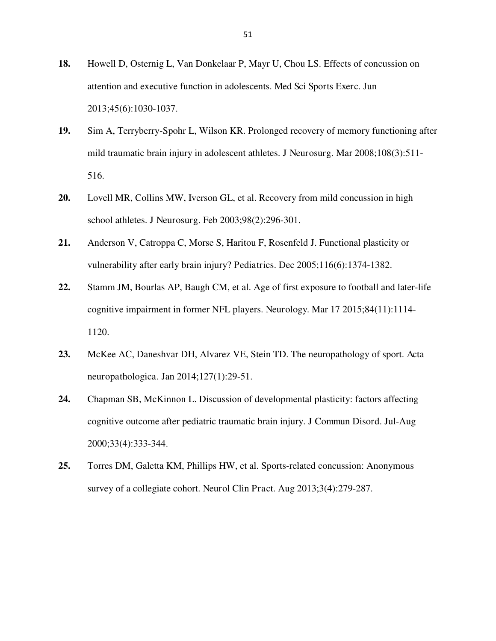- **18.** Howell D, Osternig L, Van Donkelaar P, Mayr U, Chou LS. Effects of concussion on attention and executive function in adolescents. Med Sci Sports Exerc. Jun 2013;45(6):1030-1037.
- **19.** Sim A, Terryberry-Spohr L, Wilson KR. Prolonged recovery of memory functioning after mild traumatic brain injury in adolescent athletes. J Neurosurg. Mar 2008;108(3):511- 516.
- **20.** Lovell MR, Collins MW, Iverson GL, et al. Recovery from mild concussion in high school athletes. J Neurosurg. Feb 2003;98(2):296-301.
- **21.** Anderson V, Catroppa C, Morse S, Haritou F, Rosenfeld J. Functional plasticity or vulnerability after early brain injury? Pediatrics. Dec 2005;116(6):1374-1382.
- **22.** Stamm JM, Bourlas AP, Baugh CM, et al. Age of first exposure to football and later-life cognitive impairment in former NFL players. Neurology. Mar 17 2015;84(11):1114- 1120.
- **23.** McKee AC, Daneshvar DH, Alvarez VE, Stein TD. The neuropathology of sport. Acta neuropathologica. Jan 2014;127(1):29-51.
- **24.** Chapman SB, McKinnon L. Discussion of developmental plasticity: factors affecting cognitive outcome after pediatric traumatic brain injury. J Commun Disord. Jul-Aug 2000;33(4):333-344.
- **25.** Torres DM, Galetta KM, Phillips HW, et al. Sports-related concussion: Anonymous survey of a collegiate cohort. Neurol Clin Pract. Aug 2013;3(4):279-287.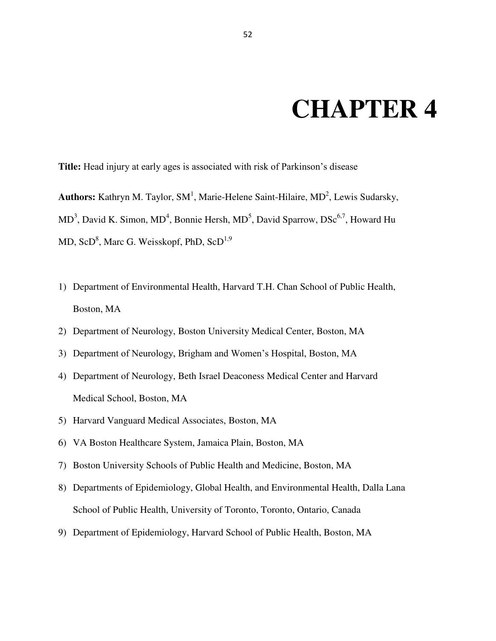## **CHAPTER 4**

**Title:** Head injury at early ages is associated with risk of Parkinson's disease

Authors: Kathryn M. Taylor, SM<sup>1</sup>, Marie-Helene Saint-Hilaire, MD<sup>2</sup>, Lewis Sudarsky, MD<sup>3</sup>, David K. Simon, MD<sup>4</sup>, Bonnie Hersh, MD<sup>5</sup>, David Sparrow, DSc<sup>6,7</sup>, Howard Hu MD, Sc $D^8$ , Marc G. Weisskopf, PhD, Sc $D^{1,9}$ 

- 1) Department of Environmental Health, Harvard T.H. Chan School of Public Health, Boston, MA
- 2) Department of Neurology, Boston University Medical Center, Boston, MA
- 3) Department of Neurology, Brigham and Women's Hospital, Boston, MA
- 4) Department of Neurology, Beth Israel Deaconess Medical Center and Harvard Medical School, Boston, MA
- 5) Harvard Vanguard Medical Associates, Boston, MA
- 6) VA Boston Healthcare System, Jamaica Plain, Boston, MA
- 7) Boston University Schools of Public Health and Medicine, Boston, MA
- 8) Departments of Epidemiology, Global Health, and Environmental Health, Dalla Lana School of Public Health, University of Toronto, Toronto, Ontario, Canada
- 9) Department of Epidemiology, Harvard School of Public Health, Boston, MA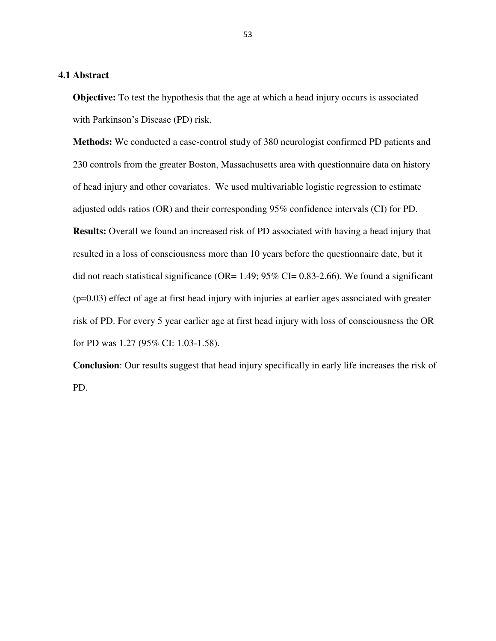## **4.1 Abstract**

**Objective:** To test the hypothesis that the age at which a head injury occurs is associated with Parkinson's Disease (PD) risk.

**Methods:** We conducted a case-control study of 380 neurologist confirmed PD patients and 230 controls from the greater Boston, Massachusetts area with questionnaire data on history of head injury and other covariates. We used multivariable logistic regression to estimate adjusted odds ratios (OR) and their corresponding 95% confidence intervals (CI) for PD. **Results:** Overall we found an increased risk of PD associated with having a head injury that resulted in a loss of consciousness more than 10 years before the questionnaire date, but it did not reach statistical significance (OR=  $1.49$ ;  $95\%$  CI= 0.83-2.66). We found a significant (p=0.03) effect of age at first head injury with injuries at earlier ages associated with greater risk of PD. For every 5 year earlier age at first head injury with loss of consciousness the OR for PD was 1.27 (95% CI: 1.03-1.58).

**Conclusion**: Our results suggest that head injury specifically in early life increases the risk of PD.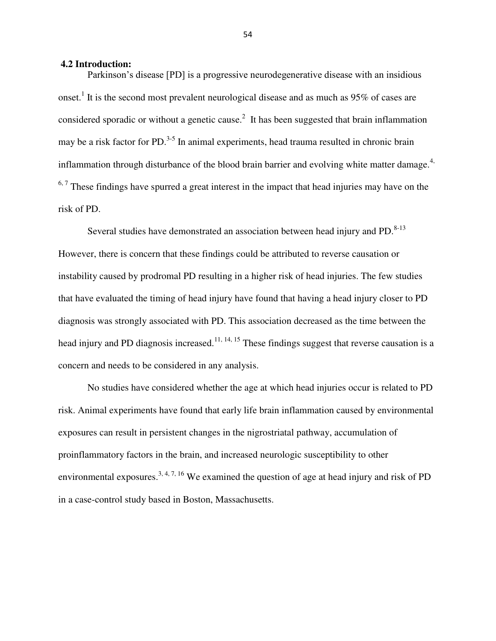#### **4.2 Introduction:**

Parkinson's disease [PD] is a progressive neurodegenerative disease with an insidious onset.<sup>1</sup> It is the second most prevalent neurological disease and as much as  $95\%$  of cases are considered sporadic or without a genetic cause.<sup>2</sup> It has been suggested that brain inflammation may be a risk factor for PD.<sup>3-5</sup> In animal experiments, head trauma resulted in chronic brain inflammation through disturbance of the blood brain barrier and evolving white matter damage.<sup>4,</sup>  $6.7$  These findings have spurred a great interest in the impact that head injuries may have on the risk of PD.

Several studies have demonstrated an association between head injury and  $PD$ .<sup>8-13</sup> However, there is concern that these findings could be attributed to reverse causation or instability caused by prodromal PD resulting in a higher risk of head injuries. The few studies that have evaluated the timing of head injury have found that having a head injury closer to PD diagnosis was strongly associated with PD. This association decreased as the time between the head injury and PD diagnosis increased.<sup>11, 14, 15</sup> These findings suggest that reverse causation is a concern and needs to be considered in any analysis.

No studies have considered whether the age at which head injuries occur is related to PD risk. Animal experiments have found that early life brain inflammation caused by environmental exposures can result in persistent changes in the nigrostriatal pathway, accumulation of proinflammatory factors in the brain, and increased neurologic susceptibility to other environmental exposures.<sup>3, 4, 7, 16</sup> We examined the question of age at head injury and risk of PD in a case-control study based in Boston, Massachusetts.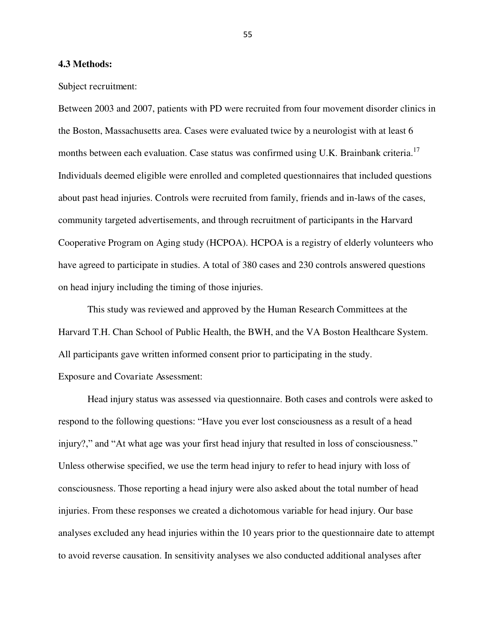#### **4.3 Methods:**

Subject recruitment:

Between 2003 and 2007, patients with PD were recruited from four movement disorder clinics in the Boston, Massachusetts area. Cases were evaluated twice by a neurologist with at least 6 months between each evaluation. Case status was confirmed using U.K. Brainbank criteria.<sup>17</sup> Individuals deemed eligible were enrolled and completed questionnaires that included questions about past head injuries. Controls were recruited from family, friends and in-laws of the cases, community targeted advertisements, and through recruitment of participants in the Harvard Cooperative Program on Aging study (HCPOA). HCPOA is a registry of elderly volunteers who have agreed to participate in studies. A total of 380 cases and 230 controls answered questions on head injury including the timing of those injuries.

This study was reviewed and approved by the Human Research Committees at the Harvard T.H. Chan School of Public Health, the BWH, and the VA Boston Healthcare System. All participants gave written informed consent prior to participating in the study. Exposure and Covariate Assessment:

Head injury status was assessed via questionnaire. Both cases and controls were asked to respond to the following questions: "Have you ever lost consciousness as a result of a head injury?," and "At what age was your first head injury that resulted in loss of consciousness." Unless otherwise specified, we use the term head injury to refer to head injury with loss of consciousness. Those reporting a head injury were also asked about the total number of head injuries. From these responses we created a dichotomous variable for head injury. Our base analyses excluded any head injuries within the 10 years prior to the questionnaire date to attempt to avoid reverse causation. In sensitivity analyses we also conducted additional analyses after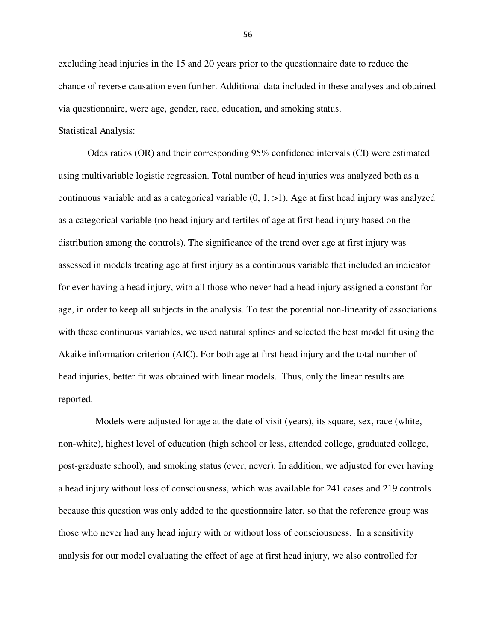excluding head injuries in the 15 and 20 years prior to the questionnaire date to reduce the chance of reverse causation even further. Additional data included in these analyses and obtained via questionnaire, were age, gender, race, education, and smoking status.

## Statistical Analysis:

Odds ratios (OR) and their corresponding 95% confidence intervals (CI) were estimated using multivariable logistic regression. Total number of head injuries was analyzed both as a continuous variable and as a categorical variable  $(0, 1, >1)$ . Age at first head injury was analyzed as a categorical variable (no head injury and tertiles of age at first head injury based on the distribution among the controls). The significance of the trend over age at first injury was assessed in models treating age at first injury as a continuous variable that included an indicator for ever having a head injury, with all those who never had a head injury assigned a constant for age, in order to keep all subjects in the analysis. To test the potential non-linearity of associations with these continuous variables, we used natural splines and selected the best model fit using the Akaike information criterion (AIC). For both age at first head injury and the total number of head injuries, better fit was obtained with linear models. Thus, only the linear results are reported.

 Models were adjusted for age at the date of visit (years), its square, sex, race (white, non-white), highest level of education (high school or less, attended college, graduated college, post-graduate school), and smoking status (ever, never). In addition, we adjusted for ever having a head injury without loss of consciousness, which was available for 241 cases and 219 controls because this question was only added to the questionnaire later, so that the reference group was those who never had any head injury with or without loss of consciousness. In a sensitivity analysis for our model evaluating the effect of age at first head injury, we also controlled for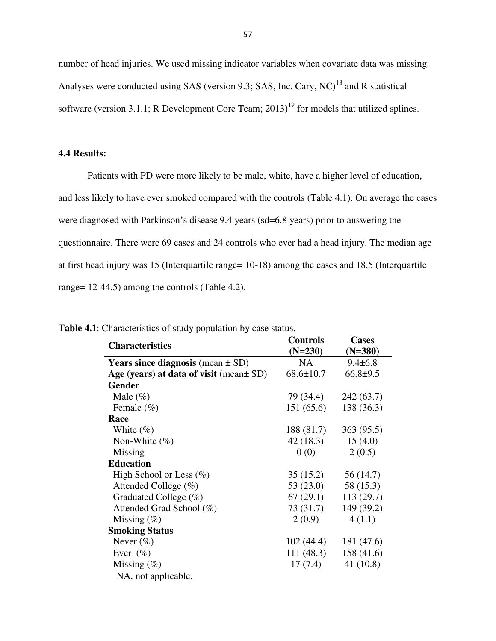number of head injuries. We used missing indicator variables when covariate data was missing. Analyses were conducted using SAS (version 9.3; SAS, Inc. Cary,  $NC$ )<sup>18</sup> and R statistical software (version 3.1.1; R Development Core Team;  $2013$ <sup>19</sup> for models that utilized splines.

## **4.4 Results:**

Patients with PD were more likely to be male, white, have a higher level of education, and less likely to have ever smoked compared with the controls (Table 4.1). On average the cases were diagnosed with Parkinson's disease 9.4 years (sd=6.8 years) prior to answering the questionnaire. There were 69 cases and 24 controls who ever had a head injury. The median age at first head injury was 15 (Interquartile range= 10-18) among the cases and 18.5 (Interquartile range= 12-44.5) among the controls (Table 4.2).

|                                              | <b>Controls</b> | <b>Cases</b><br>$(N=380)$ |  |
|----------------------------------------------|-----------------|---------------------------|--|
| <b>Characteristics</b>                       | $(N=230)$       |                           |  |
| <b>Years since diagnosis</b> (mean $\pm$ SD) | <b>NA</b>       | $9.4 \pm 6.8$             |  |
| Age (years) at data of visit (mean $\pm$ SD) | $68.6 \pm 10.7$ | $66.8+9.5$                |  |
| <b>Gender</b>                                |                 |                           |  |
| Male $(\%)$                                  | 79 (34.4)       | 242 (63.7)                |  |
| Female $(\% )$                               | 151(65.6)       | 138 (36.3)                |  |
| Race                                         |                 |                           |  |
| White $(\%)$                                 | 188 (81.7)      | 363 (95.5)                |  |
| Non-White $(\%)$                             | 42(18.3)        | 15(4.0)                   |  |
| Missing                                      | 0(0)            | 2(0.5)                    |  |
| <b>Education</b>                             |                 |                           |  |
| High School or Less $(\%)$                   | 35(15.2)        | 56 (14.7)                 |  |
| Attended College $(\%)$                      | 53 (23.0)       | 58 (15.3)                 |  |
| Graduated College $(\%)$                     | 67(29.1)        | 113 (29.7)                |  |
| Attended Grad School (%)                     | 73 (31.7)       | 149 (39.2)                |  |
| Missing $(\%)$                               | 2(0.9)          | 4(1.1)                    |  |
| <b>Smoking Status</b>                        |                 |                           |  |
| Never $(\%)$                                 | 102(44.4)       | 181 (47.6)                |  |
| Ever $(\%)$                                  | 111(48.3)       | 158 (41.6)                |  |
| Missing $(\%)$                               | 17(7.4)         | 41(10.8)                  |  |

**Table 4.1**: Characteristics of study population by case status.

NA, not applicable.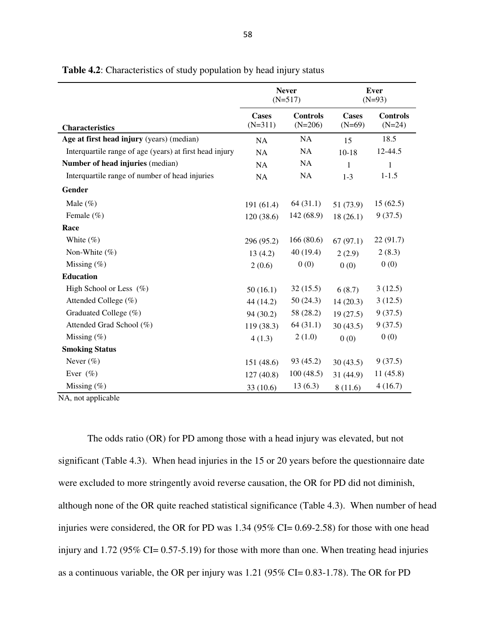|                                                         | <b>Never</b><br>$(N=517)$ |                              | <b>Ever</b><br>$(N=93)$ |                             |
|---------------------------------------------------------|---------------------------|------------------------------|-------------------------|-----------------------------|
| <b>Characteristics</b>                                  | Cases<br>$(N=311)$        | <b>Controls</b><br>$(N=206)$ | Cases<br>$(N=69)$       | <b>Controls</b><br>$(N=24)$ |
| Age at first head injury (years) (median)               | NA                        | NA                           | 15                      | 18.5                        |
| Interquartile range of age (years) at first head injury | <b>NA</b>                 | NA                           | $10-18$                 | 12-44.5                     |
| Number of head injuries (median)                        | NA                        | <b>NA</b>                    | $\mathbf{1}$            | $\mathbf{1}$                |
| Interquartile range of number of head injuries          | NA                        | NA                           | $1-3$                   | $1 - 1.5$                   |
| Gender                                                  |                           |                              |                         |                             |
| Male $(\%)$                                             | 191 (61.4)                | 64(31.1)                     | 51 (73.9)               | 15(62.5)                    |
| Female $(\% )$                                          | 120(38.6)                 | 142 (68.9)                   | 18(26.1)                | 9(37.5)                     |
| Race                                                    |                           |                              |                         |                             |
| White $(\%)$                                            | 296 (95.2)                | 166(80.6)                    | 67(97.1)                | 22 (91.7)                   |
| Non-White $(\% )$                                       | 13(4.2)                   | 40 (19.4)                    | 2(2.9)                  | 2(8.3)                      |
| Missing $(\%)$                                          | 2(0.6)                    | 0(0)                         | 0(0)                    | 0(0)                        |
| <b>Education</b>                                        |                           |                              |                         |                             |
| High School or Less (%)                                 | 50(16.1)                  | 32(15.5)                     | 6(8.7)                  | 3(12.5)                     |
| Attended College (%)                                    | 44 (14.2)                 | 50 (24.3)                    | 14(20.3)                | 3(12.5)                     |
| Graduated College (%)                                   | 94(30.2)                  | 58 (28.2)                    | 19(27.5)                | 9(37.5)                     |
| Attended Grad School (%)                                | 119 (38.3)                | 64 (31.1)                    | 30(43.5)                | 9(37.5)                     |
| Missing $(\%)$                                          | 4(1.3)                    | 2(1.0)                       | 0(0)                    | 0(0)                        |
| <b>Smoking Status</b>                                   |                           |                              |                         |                             |
| Never $(\%)$                                            | 151 (48.6)                | 93 (45.2)                    | 30(43.5)                | 9(37.5)                     |
| Ever $(\% )$                                            | 127(40.8)                 | 100(48.5)                    | 31 (44.9)               | 11(45.8)                    |
| Missing $(\%)$                                          | 33(10.6)                  | 13(6.3)                      | 8(11.6)                 | 4(16.7)                     |

**Table 4.2**: Characteristics of study population by head injury status

NA, not applicable

The odds ratio (OR) for PD among those with a head injury was elevated, but not significant (Table 4.3). When head injuries in the 15 or 20 years before the questionnaire date were excluded to more stringently avoid reverse causation, the OR for PD did not diminish, although none of the OR quite reached statistical significance (Table 4.3). When number of head injuries were considered, the OR for PD was  $1.34$  (95% CI= 0.69-2.58) for those with one head injury and 1.72 (95% CI= 0.57-5.19) for those with more than one. When treating head injuries as a continuous variable, the OR per injury was 1.21 (95% CI= 0.83-1.78). The OR for PD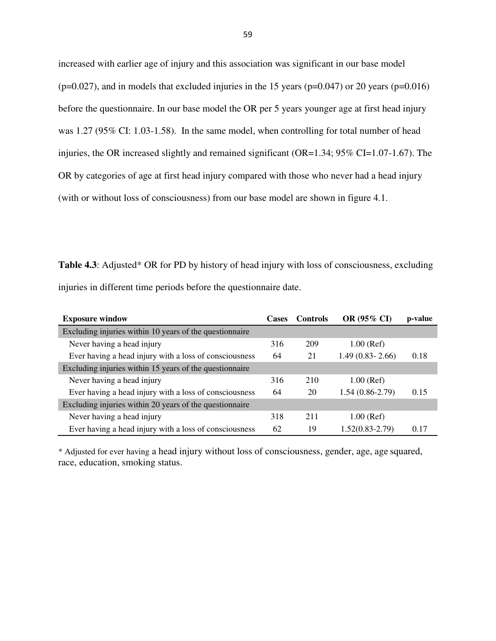increased with earlier age of injury and this association was significant in our base model  $(p=0.027)$ , and in models that excluded injuries in the 15 years  $(p=0.047)$  or 20 years  $(p=0.016)$ before the questionnaire. In our base model the OR per 5 years younger age at first head injury was 1.27 (95% CI: 1.03-1.58). In the same model, when controlling for total number of head injuries, the OR increased slightly and remained significant (OR=1.34; 95% CI=1.07-1.67). The OR by categories of age at first head injury compared with those who never had a head injury (with or without loss of consciousness) from our base model are shown in figure 4.1.

**Table 4.3**: Adjusted\* OR for PD by history of head injury with loss of consciousness, excluding injuries in different time periods before the questionnaire date.

| <b>Exposure window</b>                                  | <b>Cases</b> | <b>Controls</b> | OR (95% CI)         | p-value |
|---------------------------------------------------------|--------------|-----------------|---------------------|---------|
| Excluding injuries within 10 years of the questionnaire |              |                 |                     |         |
| Never having a head injury                              | 316          | 209             | $1.00$ (Ref)        |         |
| Ever having a head injury with a loss of consciousness  | 64           | 21              | $1.49(0.83 - 2.66)$ | 0.18    |
| Excluding injuries within 15 years of the questionnaire |              |                 |                     |         |
| Never having a head injury                              | 316          | 210             | $1.00$ (Ref)        |         |
| Ever having a head injury with a loss of consciousness  | 64           | 20              | $1.54(0.86-2.79)$   | 0.15    |
| Excluding injuries within 20 years of the questionnaire |              |                 |                     |         |
| Never having a head injury                              | 318          | 211             | $1.00$ (Ref)        |         |
| Ever having a head injury with a loss of consciousness  | 62           | 19              | $1.52(0.83 - 2.79)$ | 0.17    |

\* Adjusted for ever having a head injury without loss of consciousness, gender, age, age squared, race, education, smoking status.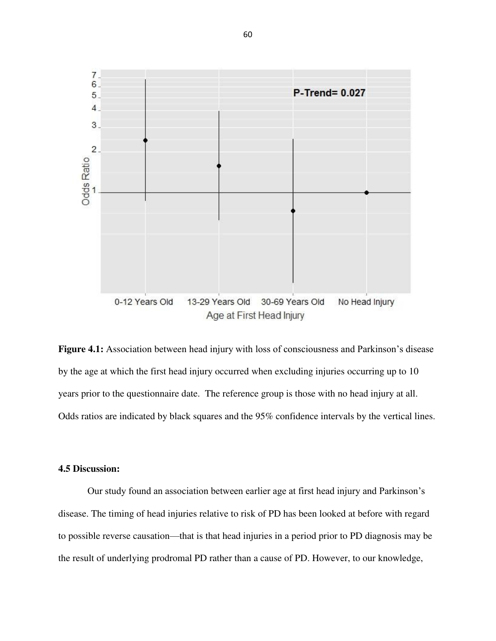

**Figure 4.1:** Association between head injury with loss of consciousness and Parkinson's disease by the age at which the first head injury occurred when excluding injuries occurring up to 10 years prior to the questionnaire date. The reference group is those with no head injury at all. Odds ratios are indicated by black squares and the 95% confidence intervals by the vertical lines.

## **4.5 Discussion:**

Our study found an association between earlier age at first head injury and Parkinson's disease. The timing of head injuries relative to risk of PD has been looked at before with regard to possible reverse causation—that is that head injuries in a period prior to PD diagnosis may be the result of underlying prodromal PD rather than a cause of PD. However, to our knowledge,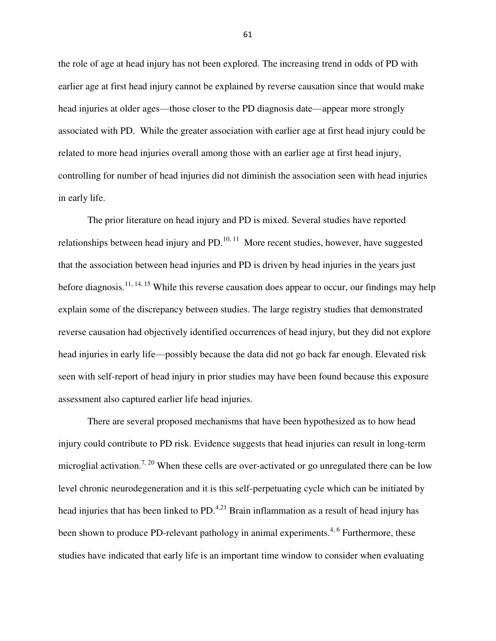the role of age at head injury has not been explored. The increasing trend in odds of PD with earlier age at first head injury cannot be explained by reverse causation since that would make head injuries at older ages—those closer to the PD diagnosis date—appear more strongly associated with PD. While the greater association with earlier age at first head injury could be related to more head injuries overall among those with an earlier age at first head injury, controlling for number of head injuries did not diminish the association seen with head injuries in early life.

The prior literature on head injury and PD is mixed. Several studies have reported relationships between head injury and  $PD<sup>10, 11</sup>$  More recent studies, however, have suggested that the association between head injuries and PD is driven by head injuries in the years just before diagnosis.<sup>11, 14, 15</sup> While this reverse causation does appear to occur, our findings may help explain some of the discrepancy between studies. The large registry studies that demonstrated reverse causation had objectively identified occurrences of head injury, but they did not explore head injuries in early life—possibly because the data did not go back far enough. Elevated risk seen with self-report of head injury in prior studies may have been found because this exposure assessment also captured earlier life head injuries.

There are several proposed mechanisms that have been hypothesized as to how head injury could contribute to PD risk. Evidence suggests that head injuries can result in long-term microglial activation.<sup>7, 20</sup> When these cells are over-activated or go unregulated there can be low level chronic neurodegeneration and it is this self-perpetuating cycle which can be initiated by head injuries that has been linked to  $PD<sup>4,21</sup>$  Brain inflammation as a result of head injury has been shown to produce PD-relevant pathology in animal experiments.<sup>4, 6</sup> Furthermore, these studies have indicated that early life is an important time window to consider when evaluating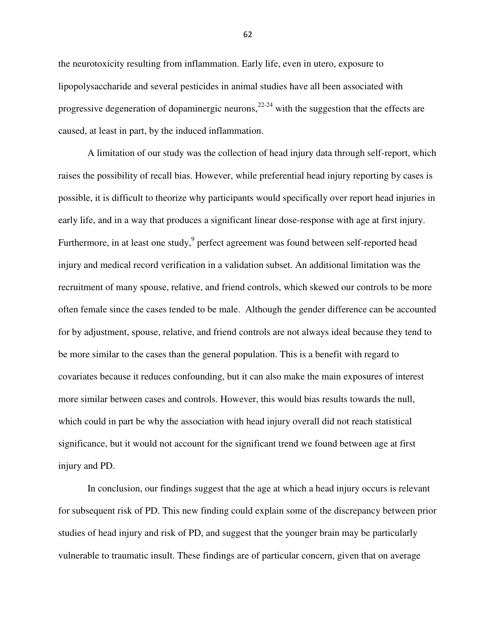the neurotoxicity resulting from inflammation. Early life, even in utero, exposure to lipopolysaccharide and several pesticides in animal studies have all been associated with progressive degeneration of dopaminergic neurons,  $2^{2-24}$  with the suggestion that the effects are caused, at least in part, by the induced inflammation.

A limitation of our study was the collection of head injury data through self-report, which raises the possibility of recall bias. However, while preferential head injury reporting by cases is possible, it is difficult to theorize why participants would specifically over report head injuries in early life, and in a way that produces a significant linear dose-response with age at first injury. Furthermore, in at least one study,  $9$  perfect agreement was found between self-reported head injury and medical record verification in a validation subset. An additional limitation was the recruitment of many spouse, relative, and friend controls, which skewed our controls to be more often female since the cases tended to be male. Although the gender difference can be accounted for by adjustment, spouse, relative, and friend controls are not always ideal because they tend to be more similar to the cases than the general population. This is a benefit with regard to covariates because it reduces confounding, but it can also make the main exposures of interest more similar between cases and controls. However, this would bias results towards the null, which could in part be why the association with head injury overall did not reach statistical significance, but it would not account for the significant trend we found between age at first injury and PD.

In conclusion, our findings suggest that the age at which a head injury occurs is relevant for subsequent risk of PD. This new finding could explain some of the discrepancy between prior studies of head injury and risk of PD, and suggest that the younger brain may be particularly vulnerable to traumatic insult. These findings are of particular concern, given that on average

62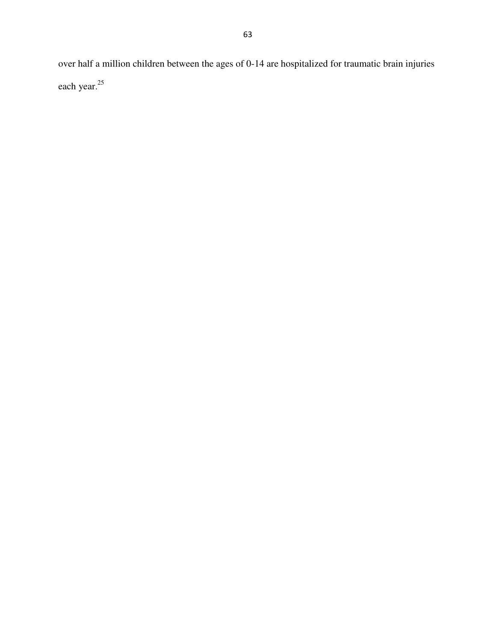over half a million children between the ages of 0-14 are hospitalized for traumatic brain injuries each year.<sup>25</sup>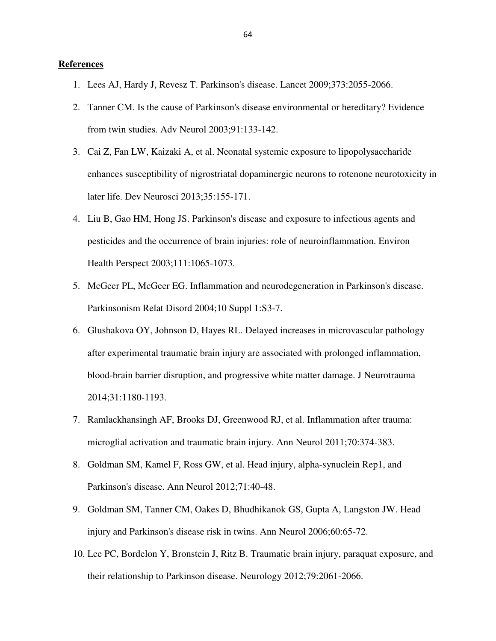## **References**

- 1. Lees AJ, Hardy J, Revesz T. Parkinson's disease. Lancet 2009;373:2055-2066.
- 2. Tanner CM. Is the cause of Parkinson's disease environmental or hereditary? Evidence from twin studies. Adv Neurol 2003;91:133-142.
- 3. Cai Z, Fan LW, Kaizaki A, et al. Neonatal systemic exposure to lipopolysaccharide enhances susceptibility of nigrostriatal dopaminergic neurons to rotenone neurotoxicity in later life. Dev Neurosci 2013;35:155-171.
- 4. Liu B, Gao HM, Hong JS. Parkinson's disease and exposure to infectious agents and pesticides and the occurrence of brain injuries: role of neuroinflammation. Environ Health Perspect 2003;111:1065-1073.
- 5. McGeer PL, McGeer EG. Inflammation and neurodegeneration in Parkinson's disease. Parkinsonism Relat Disord 2004;10 Suppl 1:S3-7.
- 6. Glushakova OY, Johnson D, Hayes RL. Delayed increases in microvascular pathology after experimental traumatic brain injury are associated with prolonged inflammation, blood-brain barrier disruption, and progressive white matter damage. J Neurotrauma 2014;31:1180-1193.
- 7. Ramlackhansingh AF, Brooks DJ, Greenwood RJ, et al. Inflammation after trauma: microglial activation and traumatic brain injury. Ann Neurol 2011;70:374-383.
- 8. Goldman SM, Kamel F, Ross GW, et al. Head injury, alpha-synuclein Rep1, and Parkinson's disease. Ann Neurol 2012;71:40-48.
- 9. Goldman SM, Tanner CM, Oakes D, Bhudhikanok GS, Gupta A, Langston JW. Head injury and Parkinson's disease risk in twins. Ann Neurol 2006;60:65-72.
- 10. Lee PC, Bordelon Y, Bronstein J, Ritz B. Traumatic brain injury, paraquat exposure, and their relationship to Parkinson disease. Neurology 2012;79:2061-2066.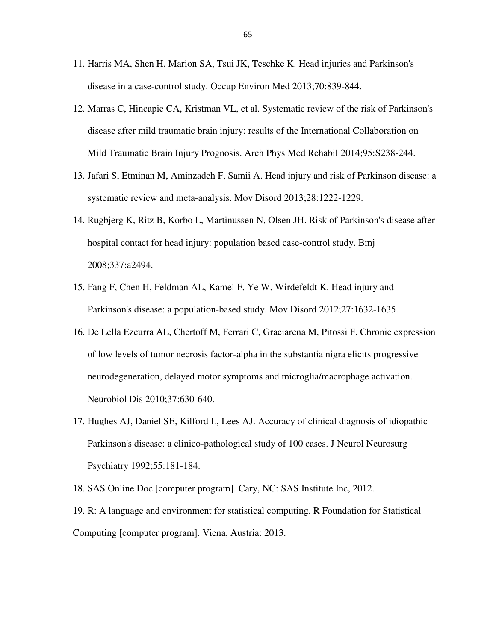- 11. Harris MA, Shen H, Marion SA, Tsui JK, Teschke K. Head injuries and Parkinson's disease in a case-control study. Occup Environ Med 2013;70:839-844.
- 12. Marras C, Hincapie CA, Kristman VL, et al. Systematic review of the risk of Parkinson's disease after mild traumatic brain injury: results of the International Collaboration on Mild Traumatic Brain Injury Prognosis. Arch Phys Med Rehabil 2014;95:S238-244.
- 13. Jafari S, Etminan M, Aminzadeh F, Samii A. Head injury and risk of Parkinson disease: a systematic review and meta-analysis. Mov Disord 2013;28:1222-1229.
- 14. Rugbjerg K, Ritz B, Korbo L, Martinussen N, Olsen JH. Risk of Parkinson's disease after hospital contact for head injury: population based case-control study. Bmj 2008;337:a2494.
- 15. Fang F, Chen H, Feldman AL, Kamel F, Ye W, Wirdefeldt K. Head injury and Parkinson's disease: a population-based study. Mov Disord 2012;27:1632-1635.
- 16. De Lella Ezcurra AL, Chertoff M, Ferrari C, Graciarena M, Pitossi F. Chronic expression of low levels of tumor necrosis factor-alpha in the substantia nigra elicits progressive neurodegeneration, delayed motor symptoms and microglia/macrophage activation. Neurobiol Dis 2010;37:630-640.
- 17. Hughes AJ, Daniel SE, Kilford L, Lees AJ. Accuracy of clinical diagnosis of idiopathic Parkinson's disease: a clinico-pathological study of 100 cases. J Neurol Neurosurg Psychiatry 1992;55:181-184.
- 18. SAS Online Doc [computer program]. Cary, NC: SAS Institute Inc, 2012.

19. R: A language and environment for statistical computing. R Foundation for Statistical Computing [computer program]. Viena, Austria: 2013.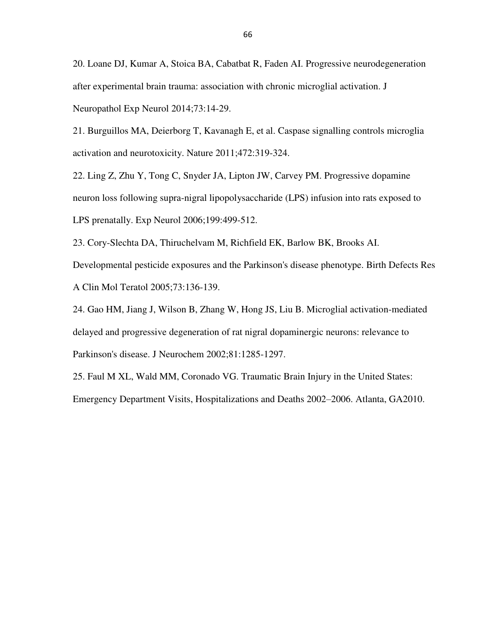20. Loane DJ, Kumar A, Stoica BA, Cabatbat R, Faden AI. Progressive neurodegeneration after experimental brain trauma: association with chronic microglial activation. J Neuropathol Exp Neurol 2014;73:14-29.

21. Burguillos MA, Deierborg T, Kavanagh E, et al. Caspase signalling controls microglia activation and neurotoxicity. Nature 2011;472:319-324.

22. Ling Z, Zhu Y, Tong C, Snyder JA, Lipton JW, Carvey PM. Progressive dopamine neuron loss following supra-nigral lipopolysaccharide (LPS) infusion into rats exposed to LPS prenatally. Exp Neurol 2006;199:499-512.

23. Cory-Slechta DA, Thiruchelvam M, Richfield EK, Barlow BK, Brooks AI.

Developmental pesticide exposures and the Parkinson's disease phenotype. Birth Defects Res A Clin Mol Teratol 2005;73:136-139.

24. Gao HM, Jiang J, Wilson B, Zhang W, Hong JS, Liu B. Microglial activation-mediated delayed and progressive degeneration of rat nigral dopaminergic neurons: relevance to Parkinson's disease. J Neurochem 2002;81:1285-1297.

25. Faul M XL, Wald MM, Coronado VG. Traumatic Brain Injury in the United States: Emergency Department Visits, Hospitalizations and Deaths 2002–2006. Atlanta, GA2010.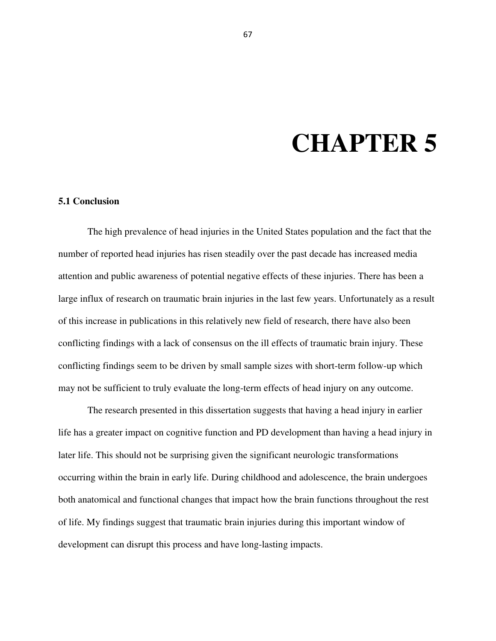## **CHAPTER 5**

## **5.1 Conclusion**

 The high prevalence of head injuries in the United States population and the fact that the number of reported head injuries has risen steadily over the past decade has increased media attention and public awareness of potential negative effects of these injuries. There has been a large influx of research on traumatic brain injuries in the last few years. Unfortunately as a result of this increase in publications in this relatively new field of research, there have also been conflicting findings with a lack of consensus on the ill effects of traumatic brain injury. These conflicting findings seem to be driven by small sample sizes with short-term follow-up which may not be sufficient to truly evaluate the long-term effects of head injury on any outcome.

The research presented in this dissertation suggests that having a head injury in earlier life has a greater impact on cognitive function and PD development than having a head injury in later life. This should not be surprising given the significant neurologic transformations occurring within the brain in early life. During childhood and adolescence, the brain undergoes both anatomical and functional changes that impact how the brain functions throughout the rest of life. My findings suggest that traumatic brain injuries during this important window of development can disrupt this process and have long-lasting impacts.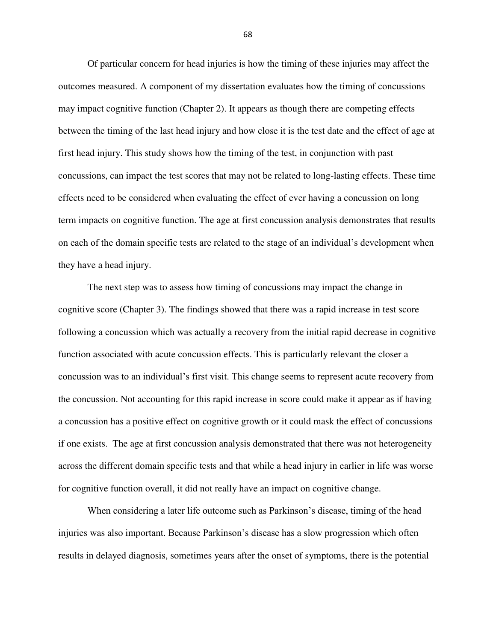Of particular concern for head injuries is how the timing of these injuries may affect the outcomes measured. A component of my dissertation evaluates how the timing of concussions may impact cognitive function (Chapter 2). It appears as though there are competing effects between the timing of the last head injury and how close it is the test date and the effect of age at first head injury. This study shows how the timing of the test, in conjunction with past concussions, can impact the test scores that may not be related to long-lasting effects. These time effects need to be considered when evaluating the effect of ever having a concussion on long term impacts on cognitive function. The age at first concussion analysis demonstrates that results on each of the domain specific tests are related to the stage of an individual's development when they have a head injury.

The next step was to assess how timing of concussions may impact the change in cognitive score (Chapter 3). The findings showed that there was a rapid increase in test score following a concussion which was actually a recovery from the initial rapid decrease in cognitive function associated with acute concussion effects. This is particularly relevant the closer a concussion was to an individual's first visit. This change seems to represent acute recovery from the concussion. Not accounting for this rapid increase in score could make it appear as if having a concussion has a positive effect on cognitive growth or it could mask the effect of concussions if one exists. The age at first concussion analysis demonstrated that there was not heterogeneity across the different domain specific tests and that while a head injury in earlier in life was worse for cognitive function overall, it did not really have an impact on cognitive change.

When considering a later life outcome such as Parkinson's disease, timing of the head injuries was also important. Because Parkinson's disease has a slow progression which often results in delayed diagnosis, sometimes years after the onset of symptoms, there is the potential

68